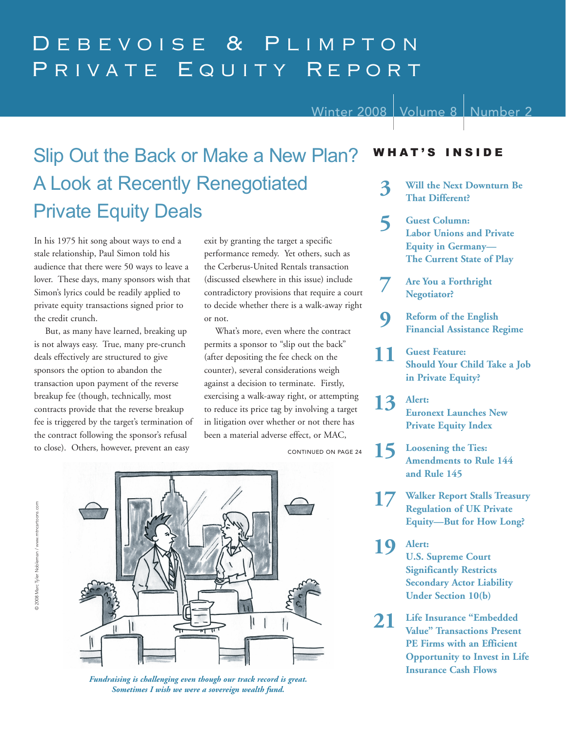# Debevoise & Plimpton PRIVATE EQUITY REPORT

Winter 2008 | Volume 8 | Number 2

# Slip Out the Back or Make a New Plan? A Look at Recently Renegotiated Private Equity Deals **That Different?**

In his 1975 hit song about ways to end a stale relationship, Paul Simon told his audience that there were 50 ways to leave a lover. These days, many sponsors wish that Simon's lyrics could be readily applied to private equity transactions signed prior to the credit crunch.

But, as many have learned, breaking up is not always easy. True, many pre-crunch deals effectively are structured to give sponsors the option to abandon the transaction upon payment of the reverse breakup fee (though, technically, most contracts provide that the reverse breakup fee is triggered by the target's termination of the contract following the sponsor's refusal to close). Others, however, prevent an easy

exit by granting the target a specific performance remedy. Yet others, such as the Cerberus-United Rentals transaction (discussed elsewhere in this issue) include contradictory provisions that require a court to decide whether there is a walk-away right or not.

What's more, even where the contract permits a sponsor to "slip out the back" (after depositing the fee check on the counter), several considerations weigh against a decision to terminate. Firstly, exercising a walk-away right, or attempting to reduce its price tag by involving a target in litigation over whether or not there has been a material adverse effect, or MAC,

CONTINUED ON PAGE 24



*Fundraising is challenging even though our track record is great. Sometimes I wish we were a sovereign wealth fund.*

## WHAT'S INSIDE

- **3 Will the Next Downturn Be**
- **5 Guest Column: Labor Unions and Private Equity in Germany— The Current State of Play**
- **7 Are You a Forthright Negotiator?**
- **9 Reform of the English Financial Assistance Regime**
- **11 Guest Feature: Should Your Child Take a Job in Private Equity?**
- **13 Alert: Euronext Launches New Private Equity Index**
- **15 Loosening the Ties: Amendments to Rule 144 and Rule 145**
	- **17 Walker Report Stalls Treasury Regulation of UK Private Equity—But for How Long?**
- **19 Alert: U.S. Supreme Court Significantly Restricts Secondary Actor Liability Under Section 10(b)**
- **21 Life Insurance "Embedded Value" Transactions Present PE Firms with an Efficient Opportunity to Invest in Life Insurance Cash Flows**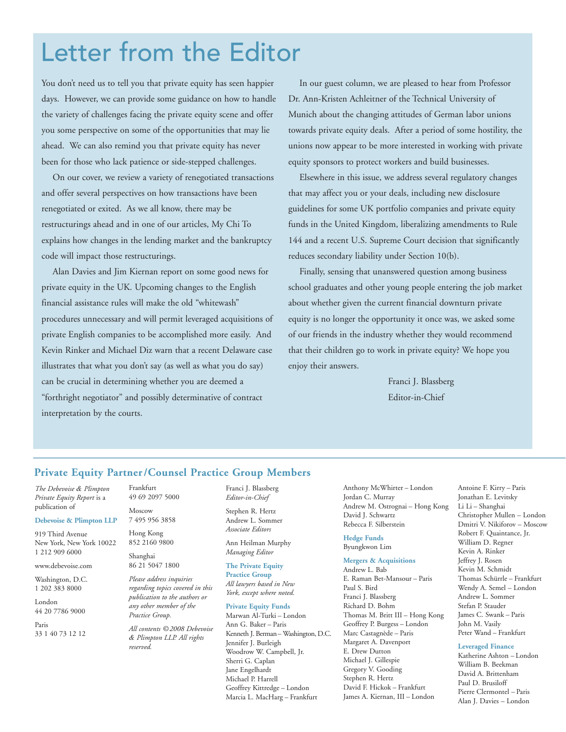# Letter from the Editor

You don't need us to tell you that private equity has seen happier days. However, we can provide some guidance on how to handle the variety of challenges facing the private equity scene and offer you some perspective on some of the opportunities that may lie ahead. We can also remind you that private equity has never been for those who lack patience or side-stepped challenges.

On our cover, we review a variety of renegotiated transactions and offer several perspectives on how transactions have been renegotiated or exited. As we all know, there may be restructurings ahead and in one of our articles, My Chi To explains how changes in the lending market and the bankruptcy code will impact those restructurings.

Alan Davies and Jim Kiernan report on some good news for private equity in the UK. Upcoming changes to the English financial assistance rules will make the old "whitewash" procedures unnecessary and will permit leveraged acquisitions of private English companies to be accomplished more easily. And Kevin Rinker and Michael Diz warn that a recent Delaware case illustrates that what you don't say (as well as what you do say) can be crucial in determining whether you are deemed a "forthright negotiator" and possibly determinative of contract interpretation by the courts.

In our guest column, we are pleased to hear from Professor Dr. Ann-Kristen Achleitner of the Technical University of Munich about the changing attitudes of German labor unions towards private equity deals. After a period of some hostility, the unions now appear to be more interested in working with private equity sponsors to protect workers and build businesses.

Elsewhere in this issue, we address several regulatory changes that may affect you or your deals, including new disclosure guidelines for some UK portfolio companies and private equity funds in the United Kingdom, liberalizing amendments to Rule 144 and a recent U.S. Supreme Court decision that significantly reduces secondary liability under Section 10(b).

Finally, sensing that unanswered question among business school graduates and other young people entering the job market about whether given the current financial downturn private equity is no longer the opportunity it once was, we asked some of our friends in the industry whether they would recommend that their children go to work in private equity? We hope you enjoy their answers.

> Franci J. Blassberg Editor-in-Chief

## **Private Equity Partner/Counsel Practice Group Members**

*The Debevoise & Plimpton Private Equity Report* is a publication of

#### **Debevoise & Plimpton LLP**

919 Third Avenue New York, New York 10022 1 212 909 6000

www.debevoise.com

Washington, D.C. 1 202 383 8000

London 44 20 7786 9000

Paris 33 1 40 73 12 12 Frankfurt 49 69 2097 5000

Moscow 7 495 956 3858

Hong Kong 852 2160 9800

Shanghai 86 21 5047 1800

*Please address inquiries regarding topics covered in this publication to the authors or any other member of the Practice Group.* 

*All contents © 2008 Debevoise & Plimpton LLP. All rights reserved.*

Franci J. Blassberg *Editor-in-Chief*

Stephen R. Hertz Andrew L. Sommer *Associate Editors*

Ann Heilman Murphy *Managing Editor*

**The Private Equity Practice Group** *All lawyers based in New York, except where noted.*

#### **Private Equity Funds**

Marwan Al-Turki – London Ann G. Baker – Paris Kenneth J. Berman– Washington, D.C. Jennifer J. Burleigh Woodrow W. Campbell, Jr. Sherri G. Caplan Jane Engelhardt Michael P. Harrell Geoffrey Kittredge – London Marcia L. MacHarg – Frankfurt

Anthony McWhirter – London Jordan C. Murray Andrew M. Ostrognai – Hong Kong David J. Schwartz Rebecca F. Silberstein

#### **Hedge Funds** Byungkwon Lim

#### **Mergers & Acquisitions**

Andrew L. Bab E. Raman Bet-Mansour – Paris Paul S. Bird Franci J. Blassberg Richard D. Bohm Thomas M. Britt III – Hong Kong Geoffrey P. Burgess – London Marc Castagnède – Paris Margaret A. Davenport E. Drew Dutton Michael J. Gillespie Gregory V. Gooding Stephen R. Hertz David F. Hickok – Frankfurt James A. Kiernan, III – London

Antoine F. Kirry – Paris Jonathan E. Levitsky Li Li – Shanghai Christopher Mullen – London Dmitri V. Nikiforov – Moscow Robert F. Quaintance, Jr. William D. Regner Kevin A. Rinker Jeffrey J. Rosen Kevin M. Schmidt Thomas Schürrle – Frankfurt Wendy A. Semel – London Andrew L. Sommer Stefan P. Stauder James C. Swank – Paris John M. Vasily Peter Wand – Frankfurt

#### **Leveraged Finance**

Katherine Ashton – London William B. Beekman David A. Brittenham Paul D. Brusiloff Pierre Clermontel – Paris Alan J. Davies – London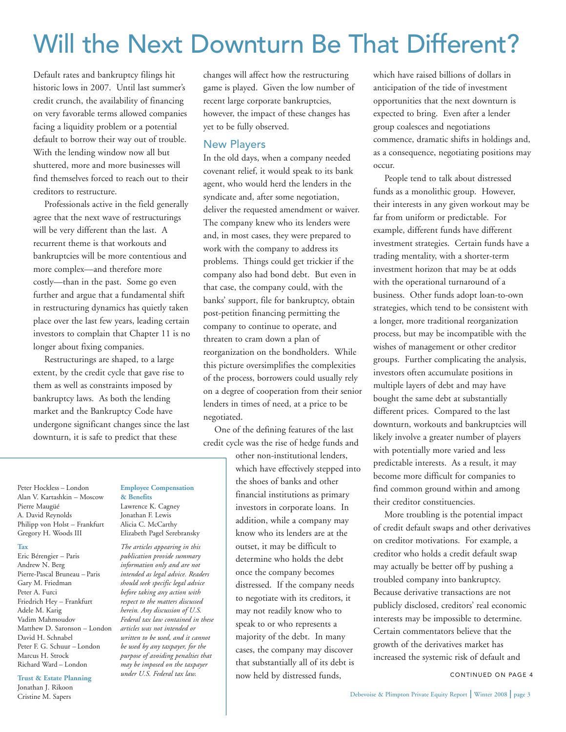# Will the Next Downturn Be That Different?

Default rates and bankruptcy filings hit historic lows in 2007. Until last summer's credit crunch, the availability of financing on very favorable terms allowed companies facing a liquidity problem or a potential default to borrow their way out of trouble. With the lending window now all but shuttered, more and more businesses will find themselves forced to reach out to their creditors to restructure.

Professionals active in the field generally agree that the next wave of restructurings will be very different than the last. A recurrent theme is that workouts and bankruptcies will be more contentious and more complex—and therefore more costly—than in the past. Some go even further and argue that a fundamental shift in restructuring dynamics has quietly taken place over the last few years, leading certain investors to complain that Chapter 11 is no longer about fixing companies.

Restructurings are shaped, to a large extent, by the credit cycle that gave rise to them as well as constraints imposed by bankruptcy laws. As both the lending market and the Bankruptcy Code have undergone significant changes since the last downturn, it is safe to predict that these

changes will affect how the restructuring game is played. Given the low number of recent large corporate bankruptcies, however, the impact of these changes has yet to be fully observed.

### New Players

In the old days, when a company needed covenant relief, it would speak to its bank agent, who would herd the lenders in the syndicate and, after some negotiation, deliver the requested amendment or waiver. The company knew who its lenders were and, in most cases, they were prepared to work with the company to address its problems. Things could get trickier if the company also had bond debt. But even in that case, the company could, with the banks' support, file for bankruptcy, obtain post-petition financing permitting the company to continue to operate, and threaten to cram down a plan of reorganization on the bondholders. While this picture oversimplifies the complexities of the process, borrowers could usually rely on a degree of cooperation from their senior lenders in times of need, at a price to be negotiated.

One of the defining features of the last credit cycle was the rise of hedge funds and

> other non-institutional lenders, which have effectively stepped into the shoes of banks and other financial institutions as primary investors in corporate loans. In addition, while a company may know who its lenders are at the outset, it may be difficult to determine who holds the debt once the company becomes distressed. If the company needs to negotiate with its creditors, it may not readily know who to speak to or who represents a majority of the debt. In many cases, the company may discover that substantially all of its debt is now held by distressed funds,

which have raised billions of dollars in anticipation of the tide of investment opportunities that the next downturn is expected to bring. Even after a lender group coalesces and negotiations commence, dramatic shifts in holdings and, as a consequence, negotiating positions may occur.

People tend to talk about distressed funds as a monolithic group. However, their interests in any given workout may be far from uniform or predictable. For example, different funds have different investment strategies. Certain funds have a trading mentality, with a shorter-term investment horizon that may be at odds with the operational turnaround of a business. Other funds adopt loan-to-own strategies, which tend to be consistent with a longer, more traditional reorganization process, but may be incompatible with the wishes of management or other creditor groups. Further complicating the analysis, investors often accumulate positions in multiple layers of debt and may have bought the same debt at substantially different prices. Compared to the last downturn, workouts and bankruptcies will likely involve a greater number of players with potentially more varied and less predictable interests. As a result, it may become more difficult for companies to find common ground within and among their creditor constituencies.

More troubling is the potential impact of credit default swaps and other derivatives on creditor motivations. For example, a creditor who holds a credit default swap may actually be better off by pushing a troubled company into bankruptcy. Because derivative transactions are not publicly disclosed, creditors' real economic interests may be impossible to determine. Certain commentators believe that the growth of the derivatives market has increased the systemic risk of default and

CONTINUED ON PAGE 4

#### **Tax**

Eric Bérengier – Paris Andrew N. Berg Pierre-Pascal Bruneau – Paris Gary M. Friedman Peter A. Furci Friedrich Hey – Frankfurt Adele M. Karig Vadim Mahmoudov Matthew D. Saronson – London David H. Schnabel Peter F. G. Schuur – London Marcus H. Strock Richard Ward – London

#### **Trust & Estate Planning**

Jonathan J. Rikoon Cristine M. Sapers

#### **Employee Compensation & Benefits**

Lawrence K. Cagney Jonathan F. Lewis Alicia C. McCarthy Elizabeth Pagel Serebransky

*The articles appearing in this publication provide summary information only and are not intended as legal advice. Readers should seek specific legal advice before taking any action with respect to the matters discussed herein. Any discussion of U.S. Federal tax law contained in these articles was not intended or written to be used, and it cannot be used by any taxpayer, for the purpose of avoiding penalties that may be imposed on the taxpayer under U.S. Federal tax law.*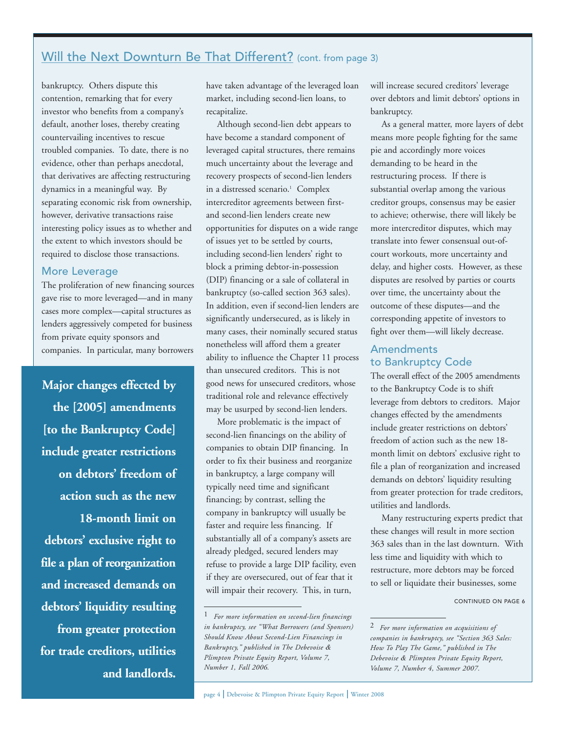# Will the Next Downturn Be That Different? (cont. from page 3)

bankruptcy. Others dispute this contention, remarking that for every investor who benefits from a company's default, another loses, thereby creating countervailing incentives to rescue troubled companies. To date, there is no evidence, other than perhaps anecdotal, that derivatives are affecting restructuring dynamics in a meaningful way. By separating economic risk from ownership, however, derivative transactions raise interesting policy issues as to whether and the extent to which investors should be required to disclose those transactions.

## More Leverage

The proliferation of new financing sources gave rise to more leveraged—and in many cases more complex—capital structures as lenders aggressively competed for business from private equity sponsors and companies. In particular, many borrowers

**Major changes effected by the [2005] amendments [to the Bankruptcy Code] include greater restrictions on debtors' freedom of action such as the new 18-month limit on debtors' exclusive right to file a plan of reorganization and increased demands on debtors' liquidity resulting from greater protection**

**for trade creditors, utilities and landlords.** have taken advantage of the leveraged loan market, including second-lien loans, to recapitalize.

Although second-lien debt appears to have become a standard component of leveraged capital structures, there remains much uncertainty about the leverage and recovery prospects of second-lien lenders in a distressed scenario.<sup>1</sup> Complex intercreditor agreements between firstand second-lien lenders create new opportunities for disputes on a wide range of issues yet to be settled by courts, including second-lien lenders' right to block a priming debtor-in-possession (DIP) financing or a sale of collateral in bankruptcy (so-called section 363 sales). In addition, even if second-lien lenders are significantly undersecured, as is likely in many cases, their nominally secured status nonetheless will afford them a greater ability to influence the Chapter 11 process than unsecured creditors. This is not good news for unsecured creditors, whose traditional role and relevance effectively may be usurped by second-lien lenders.

More problematic is the impact of second-lien financings on the ability of companies to obtain DIP financing. In order to fix their business and reorganize in bankruptcy, a large company will typically need time and significant financing; by contrast, selling the company in bankruptcy will usually be faster and require less financing. If substantially all of a company's assets are already pledged, secured lenders may refuse to provide a large DIP facility, even if they are oversecured, out of fear that it will impair their recovery. This, in turn,

will increase secured creditors' leverage over debtors and limit debtors' options in bankruptcy.

As a general matter, more layers of debt means more people fighting for the same pie and accordingly more voices demanding to be heard in the restructuring process. If there is substantial overlap among the various creditor groups, consensus may be easier to achieve; otherwise, there will likely be more intercreditor disputes, which may translate into fewer consensual out-ofcourt workouts, more uncertainty and delay, and higher costs. However, as these disputes are resolved by parties or courts over time, the uncertainty about the outcome of these disputes—and the corresponding appetite of investors to fight over them—will likely decrease.

## Amendments to Bankruptcy Code

The overall effect of the 2005 amendments to the Bankruptcy Code is to shift leverage from debtors to creditors. Major changes effected by the amendments include greater restrictions on debtors' freedom of action such as the new 18 month limit on debtors' exclusive right to file a plan of reorganization and increased demands on debtors' liquidity resulting from greater protection for trade creditors, utilities and landlords.

Many restructuring experts predict that these changes will result in more section 363 sales than in the last downturn. With less time and liquidity with which to restructure, more debtors may be forced to sell or liquidate their businesses, some

<sup>1</sup> *For more information on second-lien financings in bankruptcy, see "What Borrowers (and Sponsors) Should Know About Second-Lien Financings in Bankruptcy," published in The Debevoise & Plimpton Private Equity Report, Volume 7, Number 1, Fall 2006.*

<sup>2</sup> *For more information on acquisitions of companies in bankruptcy, see "Section 363 Sales: How To Play The Game," published in The Debevoise & Plimpton Private Equity Report, Volume 7, Number 4, Summer 2007.*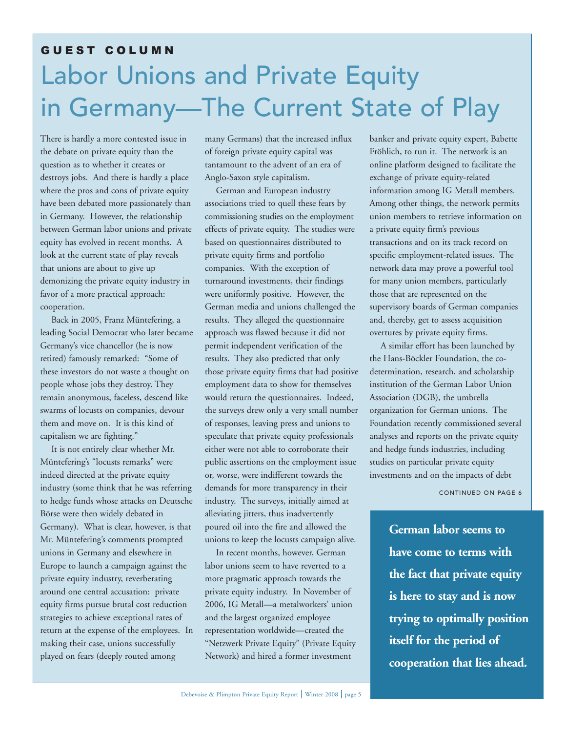# Labor Unions and Private Equity in Germany—The Current State of Play GUEST COLUMN

There is hardly a more contested issue in the debate on private equity than the question as to whether it creates or destroys jobs. And there is hardly a place where the pros and cons of private equity have been debated more passionately than in Germany. However, the relationship between German labor unions and private equity has evolved in recent months. A look at the current state of play reveals that unions are about to give up demonizing the private equity industry in favor of a more practical approach: cooperation.

Back in 2005, Franz Müntefering, a leading Social Democrat who later became Germany's vice chancellor (he is now retired) famously remarked: "Some of these investors do not waste a thought on people whose jobs they destroy. They remain anonymous, faceless, descend like swarms of locusts on companies, devour them and move on. It is this kind of capitalism we are fighting."

It is not entirely clear whether Mr. Müntefering's "locusts remarks" were indeed directed at the private equity industry (some think that he was referring to hedge funds whose attacks on Deutsche Börse were then widely debated in Germany). What is clear, however, is that Mr. Müntefering's comments prompted unions in Germany and elsewhere in Europe to launch a campaign against the private equity industry, reverberating around one central accusation: private equity firms pursue brutal cost reduction strategies to achieve exceptional rates of return at the expense of the employees. In making their case, unions successfully played on fears (deeply routed among

many Germans) that the increased influx of foreign private equity capital was tantamount to the advent of an era of Anglo-Saxon style capitalism.

German and European industry associations tried to quell these fears by commissioning studies on the employment effects of private equity. The studies were based on questionnaires distributed to private equity firms and portfolio companies. With the exception of turnaround investments, their findings were uniformly positive. However, the German media and unions challenged the results. They alleged the questionnaire approach was flawed because it did not permit independent verification of the results. They also predicted that only those private equity firms that had positive employment data to show for themselves would return the questionnaires. Indeed, the surveys drew only a very small number of responses, leaving press and unions to speculate that private equity professionals either were not able to corroborate their public assertions on the employment issue or, worse, were indifferent towards the demands for more transparency in their industry. The surveys, initially aimed at alleviating jitters, thus inadvertently poured oil into the fire and allowed the unions to keep the locusts campaign alive.

In recent months, however, German labor unions seem to have reverted to a more pragmatic approach towards the private equity industry. In November of 2006, IG Metall—a metalworkers' union and the largest organized employee representation worldwide—created the "Netzwerk Private Equity" (Private Equity Network) and hired a former investment

banker and private equity expert, Babette Fröhlich, to run it. The network is an online platform designed to facilitate the exchange of private equity-related information among IG Metall members. Among other things, the network permits union members to retrieve information on a private equity firm's previous transactions and on its track record on specific employment-related issues. The network data may prove a powerful tool for many union members, particularly those that are represented on the supervisory boards of German companies and, thereby, get to assess acquisition overtures by private equity firms.

A similar effort has been launched by the Hans-Böckler Foundation, the codetermination, research, and scholarship institution of the German Labor Union Association (DGB), the umbrella organization for German unions. The Foundation recently commissioned several analyses and reports on the private equity and hedge funds industries, including studies on particular private equity investments and on the impacts of debt

CONTINUED ON PAGE 6

**German labor seems to have come to terms with the fact that private equity is here to stay and is now trying to optimally position itself for the period of cooperation that lies ahead.**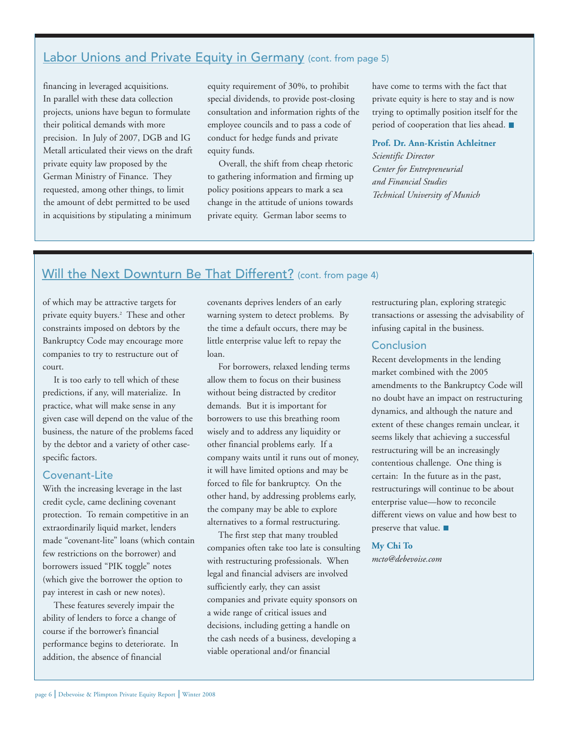## Labor Unions and Private Equity in Germany (cont. from page 5)

financing in leveraged acquisitions. In parallel with these data collection projects, unions have begun to formulate their political demands with more precision. In July of 2007, DGB and IG Metall articulated their views on the draft private equity law proposed by the German Ministry of Finance. They requested, among other things, to limit the amount of debt permitted to be used in acquisitions by stipulating a minimum

equity requirement of 30%, to prohibit special dividends, to provide post-closing consultation and information rights of the employee councils and to pass a code of conduct for hedge funds and private equity funds.

Overall, the shift from cheap rhetoric to gathering information and firming up policy positions appears to mark a sea change in the attitude of unions towards private equity. German labor seems to

have come to terms with the fact that private equity is here to stay and is now trying to optimally position itself for the period of cooperation that lies ahead.

#### **Prof. Dr. Ann-Kristin Achleitner**

*Scientific Director Center for Entrepreneurial and Financial Studies Technical University of Munich*

## Will the Next Downturn Be That Different? (cont. from page 4)

of which may be attractive targets for private equity buyers.2 These and other constraints imposed on debtors by the Bankruptcy Code may encourage more companies to try to restructure out of court.

It is too early to tell which of these predictions, if any, will materialize. In practice, what will make sense in any given case will depend on the value of the business, the nature of the problems faced by the debtor and a variety of other casespecific factors.

### Covenant-Lite

With the increasing leverage in the last credit cycle, came declining covenant protection. To remain competitive in an extraordinarily liquid market, lenders made "covenant-lite" loans (which contain few restrictions on the borrower) and borrowers issued "PIK toggle" notes (which give the borrower the option to pay interest in cash or new notes).

These features severely impair the ability of lenders to force a change of course if the borrower's financial performance begins to deteriorate. In addition, the absence of financial

covenants deprives lenders of an early warning system to detect problems. By the time a default occurs, there may be little enterprise value left to repay the loan.

For borrowers, relaxed lending terms allow them to focus on their business without being distracted by creditor demands. But it is important for borrowers to use this breathing room wisely and to address any liquidity or other financial problems early. If a company waits until it runs out of money, it will have limited options and may be forced to file for bankruptcy. On the other hand, by addressing problems early, the company may be able to explore alternatives to a formal restructuring.

The first step that many troubled companies often take too late is consulting with restructuring professionals. When legal and financial advisers are involved sufficiently early, they can assist companies and private equity sponsors on a wide range of critical issues and decisions, including getting a handle on the cash needs of a business, developing a viable operational and/or financial

restructuring plan, exploring strategic transactions or assessing the advisability of infusing capital in the business.

### **Conclusion**

Recent developments in the lending market combined with the 2005 amendments to the Bankruptcy Code will no doubt have an impact on restructuring dynamics, and although the nature and extent of these changes remain unclear, it seems likely that achieving a successful restructuring will be an increasingly contentious challenge. One thing is certain: In the future as in the past, restructurings will continue to be about enterprise value—how to reconcile different views on value and how best to preserve that value.

#### **My Chi To**

*mcto@debevoise.com*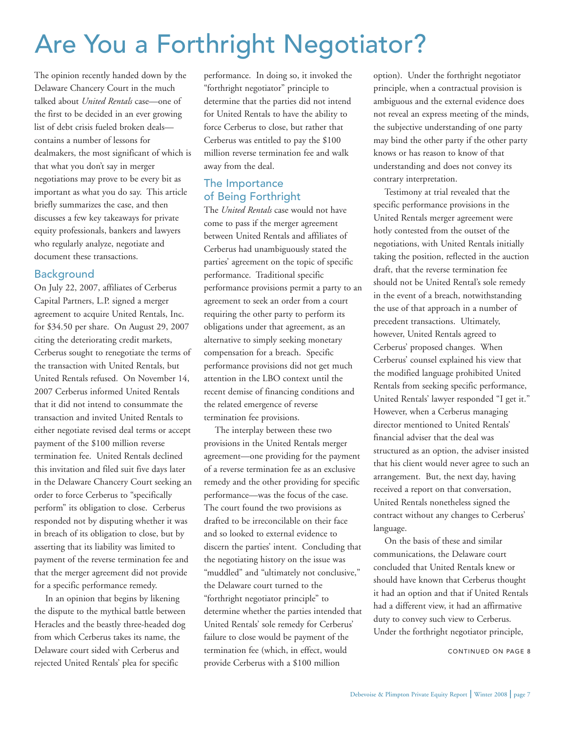# Are You a Forthright Negotiator?

The opinion recently handed down by the Delaware Chancery Court in the much talked about *United Rentals* case—one of the first to be decided in an ever growing list of debt crisis fueled broken deals contains a number of lessons for dealmakers, the most significant of which is that what you don't say in merger negotiations may prove to be every bit as important as what you do say. This article briefly summarizes the case, and then discusses a few key takeaways for private equity professionals, bankers and lawyers who regularly analyze, negotiate and document these transactions.

## Background

On July 22, 2007, affiliates of Cerberus Capital Partners, L.P. signed a merger agreement to acquire United Rentals, Inc. for \$34.50 per share. On August 29, 2007 citing the deteriorating credit markets, Cerberus sought to renegotiate the terms of the transaction with United Rentals, but United Rentals refused. On November 14, 2007 Cerberus informed United Rentals that it did not intend to consummate the transaction and invited United Rentals to either negotiate revised deal terms or accept payment of the \$100 million reverse termination fee. United Rentals declined this invitation and filed suit five days later in the Delaware Chancery Court seeking an order to force Cerberus to "specifically perform" its obligation to close. Cerberus responded not by disputing whether it was in breach of its obligation to close, but by asserting that its liability was limited to payment of the reverse termination fee and that the merger agreement did not provide for a specific performance remedy.

In an opinion that begins by likening the dispute to the mythical battle between Heracles and the beastly three-headed dog from which Cerberus takes its name, the Delaware court sided with Cerberus and rejected United Rentals' plea for specific

performance. In doing so, it invoked the "forthright negotiator" principle to determine that the parties did not intend for United Rentals to have the ability to force Cerberus to close, but rather that Cerberus was entitled to pay the \$100 million reverse termination fee and walk away from the deal.

## The Importance of Being Forthright

The *United Rentals* case would not have come to pass if the merger agreement between United Rentals and affiliates of Cerberus had unambiguously stated the parties' agreement on the topic of specific performance. Traditional specific performance provisions permit a party to an agreement to seek an order from a court requiring the other party to perform its obligations under that agreement, as an alternative to simply seeking monetary compensation for a breach. Specific performance provisions did not get much attention in the LBO context until the recent demise of financing conditions and the related emergence of reverse termination fee provisions.

The interplay between these two provisions in the United Rentals merger agreement—one providing for the payment of a reverse termination fee as an exclusive remedy and the other providing for specific performance—was the focus of the case. The court found the two provisions as drafted to be irreconcilable on their face and so looked to external evidence to discern the parties' intent. Concluding that the negotiating history on the issue was "muddled" and "ultimately not conclusive," the Delaware court turned to the "forthright negotiator principle" to determine whether the parties intended that United Rentals' sole remedy for Cerberus' failure to close would be payment of the termination fee (which, in effect, would provide Cerberus with a \$100 million

option). Under the forthright negotiator principle, when a contractual provision is ambiguous and the external evidence does not reveal an express meeting of the minds, the subjective understanding of one party may bind the other party if the other party knows or has reason to know of that understanding and does not convey its contrary interpretation.

Testimony at trial revealed that the specific performance provisions in the United Rentals merger agreement were hotly contested from the outset of the negotiations, with United Rentals initially taking the position, reflected in the auction draft, that the reverse termination fee should not be United Rental's sole remedy in the event of a breach, notwithstanding the use of that approach in a number of precedent transactions. Ultimately, however, United Rentals agreed to Cerberus' proposed changes. When Cerberus' counsel explained his view that the modified language prohibited United Rentals from seeking specific performance, United Rentals' lawyer responded "I get it." However, when a Cerberus managing director mentioned to United Rentals' financial adviser that the deal was structured as an option, the adviser insisted that his client would never agree to such an arrangement. But, the next day, having received a report on that conversation, United Rentals nonetheless signed the contract without any changes to Cerberus' language.

On the basis of these and similar communications, the Delaware court concluded that United Rentals knew or should have known that Cerberus thought it had an option and that if United Rentals had a different view, it had an affirmative duty to convey such view to Cerberus. Under the forthright negotiator principle,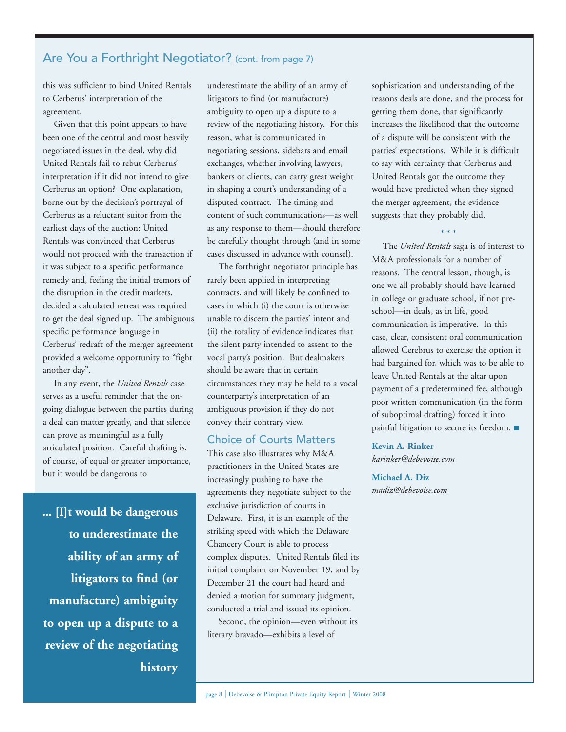## Are You a Forthright Negotiator? (cont. from page 7)

this was sufficient to bind United Rentals to Cerberus' interpretation of the agreement.

Given that this point appears to have been one of the central and most heavily negotiated issues in the deal, why did United Rentals fail to rebut Cerberus' interpretation if it did not intend to give Cerberus an option? One explanation, borne out by the decision's portrayal of Cerberus as a reluctant suitor from the earliest days of the auction: United Rentals was convinced that Cerberus would not proceed with the transaction if it was subject to a specific performance remedy and, feeling the initial tremors of the disruption in the credit markets, decided a calculated retreat was required to get the deal signed up. The ambiguous specific performance language in Cerberus' redraft of the merger agreement provided a welcome opportunity to "fight another day".

In any event, the *United Rentals* case serves as a useful reminder that the ongoing dialogue between the parties during a deal can matter greatly, and that silence can prove as meaningful as a fully articulated position. Careful drafting is, of course, of equal or greater importance, but it would be dangerous to

**... [I]t would be dangerous to underestimate the ability of an army of litigators to find (or manufacture) ambiguity to open up a dispute to a review of the negotiating history**

underestimate the ability of an army of litigators to find (or manufacture) ambiguity to open up a dispute to a review of the negotiating history. For this reason, what is communicated in negotiating sessions, sidebars and email exchanges, whether involving lawyers, bankers or clients, can carry great weight in shaping a court's understanding of a disputed contract. The timing and content of such communications—as well as any response to them—should therefore be carefully thought through (and in some cases discussed in advance with counsel).

The forthright negotiator principle has rarely been applied in interpreting contracts, and will likely be confined to cases in which (i) the court is otherwise unable to discern the parties' intent and (ii) the totality of evidence indicates that the silent party intended to assent to the vocal party's position. But dealmakers should be aware that in certain circumstances they may be held to a vocal counterparty's interpretation of an ambiguous provision if they do not convey their contrary view.

### Choice of Courts Matters

This case also illustrates why M&A practitioners in the United States are increasingly pushing to have the agreements they negotiate subject to the exclusive jurisdiction of courts in Delaware. First, it is an example of the striking speed with which the Delaware Chancery Court is able to process complex disputes. United Rentals filed its initial complaint on November 19, and by December 21 the court had heard and denied a motion for summary judgment, conducted a trial and issued its opinion.

Second, the opinion—even without its literary bravado—exhibits a level of

sophistication and understanding of the reasons deals are done, and the process for getting them done, that significantly increases the likelihood that the outcome of a dispute will be consistent with the parties' expectations. While it is difficult to say with certainty that Cerberus and United Rentals got the outcome they would have predicted when they signed the merger agreement, the evidence suggests that they probably did.

\* \* \*

The *United Rentals* saga is of interest to M&A professionals for a number of reasons. The central lesson, though, is one we all probably should have learned in college or graduate school, if not preschool—in deals, as in life, good communication is imperative. In this case, clear, consistent oral communication allowed Cerebrus to exercise the option it had bargained for, which was to be able to leave United Rentals at the altar upon payment of a predetermined fee, although poor written communication (in the form of suboptimal drafting) forced it into painful litigation to secure its freedom.

## **Kevin A. Rinker**

*karinker@debevoise.com*

**Michael A. Diz**  *madiz@debevoise.com*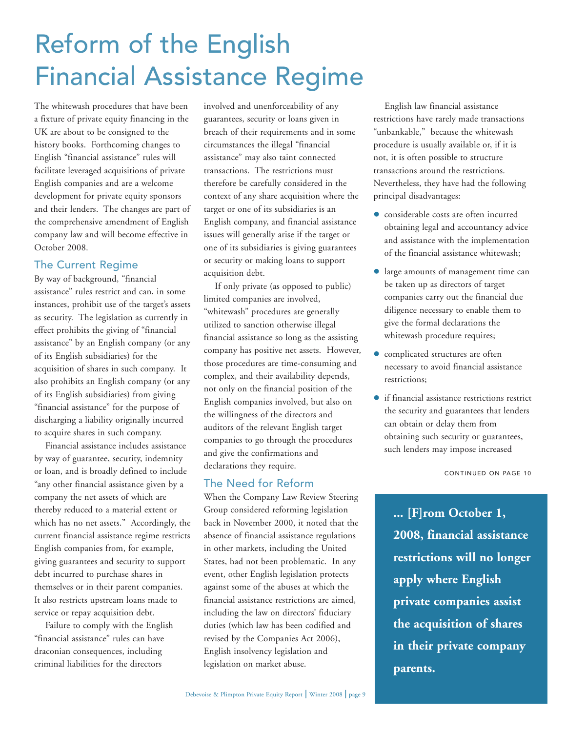# Reform of the English Financial Assistance Regime

The whitewash procedures that have been a fixture of private equity financing in the UK are about to be consigned to the history books. Forthcoming changes to English "financial assistance" rules will facilitate leveraged acquisitions of private English companies and are a welcome development for private equity sponsors and their lenders. The changes are part of the comprehensive amendment of English company law and will become effective in October 2008.

## The Current Regime

By way of background, "financial assistance" rules restrict and can, in some instances, prohibit use of the target's assets as security. The legislation as currently in effect prohibits the giving of "financial assistance" by an English company (or any of its English subsidiaries) for the acquisition of shares in such company. It also prohibits an English company (or any of its English subsidiaries) from giving "financial assistance" for the purpose of discharging a liability originally incurred to acquire shares in such company.

Financial assistance includes assistance by way of guarantee, security, indemnity or loan, and is broadly defined to include "any other financial assistance given by a company the net assets of which are thereby reduced to a material extent or which has no net assets." Accordingly, the current financial assistance regime restricts English companies from, for example, giving guarantees and security to support debt incurred to purchase shares in themselves or in their parent companies. It also restricts upstream loans made to service or repay acquisition debt.

Failure to comply with the English "financial assistance" rules can have draconian consequences, including criminal liabilities for the directors

involved and unenforceability of any guarantees, security or loans given in breach of their requirements and in some circumstances the illegal "financial assistance" may also taint connected transactions. The restrictions must therefore be carefully considered in the context of any share acquisition where the target or one of its subsidiaries is an English company, and financial assistance issues will generally arise if the target or one of its subsidiaries is giving guarantees or security or making loans to support acquisition debt.

If only private (as opposed to public) limited companies are involved, "whitewash" procedures are generally utilized to sanction otherwise illegal financial assistance so long as the assisting company has positive net assets. However, those procedures are time-consuming and complex, and their availability depends, not only on the financial position of the English companies involved, but also on the willingness of the directors and auditors of the relevant English target companies to go through the procedures and give the confirmations and declarations they require.

## The Need for Reform

When the Company Law Review Steering Group considered reforming legislation back in November 2000, it noted that the absence of financial assistance regulations in other markets, including the United States, had not been problematic. In any event, other English legislation protects against some of the abuses at which the financial assistance restrictions are aimed, including the law on directors' fiduciary duties (which law has been codified and revised by the Companies Act 2006), English insolvency legislation and legislation on market abuse.

English law financial assistance restrictions have rarely made transactions "unbankable," because the whitewash procedure is usually available or, if it is not, it is often possible to structure transactions around the restrictions. Nevertheless, they have had the following principal disadvantages:

- considerable costs are often incurred obtaining legal and accountancy advice and assistance with the implementation of the financial assistance whitewash;
- large amounts of management time can be taken up as directors of target companies carry out the financial due diligence necessary to enable them to give the formal declarations the whitewash procedure requires;
- complicated structures are often necessary to avoid financial assistance restrictions;
- if financial assistance restrictions restrict the security and guarantees that lenders can obtain or delay them from obtaining such security or guarantees, such lenders may impose increased

CONTINUED ON PAGE 10

**... [F]rom October 1, 2008, financial assistance restrictions will no longer apply where English private companies assist the acquisition of shares in their private company parents.**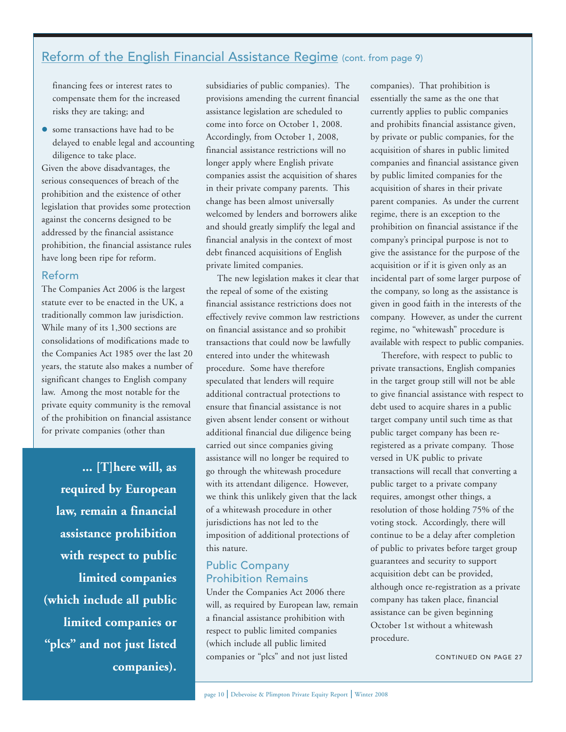## Reform of the English Financial Assistance Regime (cont. from page 9)

financing fees or interest rates to compensate them for the increased risks they are taking; and

 some transactions have had to be delayed to enable legal and accounting diligence to take place.

Given the above disadvantages, the serious consequences of breach of the prohibition and the existence of other legislation that provides some protection against the concerns designed to be addressed by the financial assistance prohibition, the financial assistance rules have long been ripe for reform.

#### Reform

The Companies Act 2006 is the largest statute ever to be enacted in the UK, a traditionally common law jurisdiction. While many of its 1,300 sections are consolidations of modifications made to the Companies Act 1985 over the last 20 years, the statute also makes a number of significant changes to English company law. Among the most notable for the private equity community is the removal of the prohibition on financial assistance for private companies (other than

**... [T]here will, as required by European law, remain a financial assistance prohibition with respect to public limited companies (which include all public limited companies or "plcs" and not just listed companies).** subsidiaries of public companies). The provisions amending the current financial assistance legislation are scheduled to come into force on October 1, 2008. Accordingly, from October 1, 2008, financial assistance restrictions will no longer apply where English private companies assist the acquisition of shares in their private company parents. This change has been almost universally welcomed by lenders and borrowers alike and should greatly simplify the legal and financial analysis in the context of most debt financed acquisitions of English private limited companies.

The new legislation makes it clear that the repeal of some of the existing financial assistance restrictions does not effectively revive common law restrictions on financial assistance and so prohibit transactions that could now be lawfully entered into under the whitewash procedure. Some have therefore speculated that lenders will require additional contractual protections to ensure that financial assistance is not given absent lender consent or without additional financial due diligence being carried out since companies giving assistance will no longer be required to go through the whitewash procedure with its attendant diligence. However, we think this unlikely given that the lack of a whitewash procedure in other jurisdictions has not led to the imposition of additional protections of this nature.

## Public Company Prohibition Remains

Under the Companies Act 2006 there will, as required by European law, remain a financial assistance prohibition with respect to public limited companies (which include all public limited companies or "plcs" and not just listed

companies). That prohibition is essentially the same as the one that currently applies to public companies and prohibits financial assistance given, by private or public companies, for the acquisition of shares in public limited companies and financial assistance given by public limited companies for the acquisition of shares in their private parent companies. As under the current regime, there is an exception to the prohibition on financial assistance if the company's principal purpose is not to give the assistance for the purpose of the acquisition or if it is given only as an incidental part of some larger purpose of the company, so long as the assistance is given in good faith in the interests of the company. However, as under the current regime, no "whitewash" procedure is available with respect to public companies.

Therefore, with respect to public to private transactions, English companies in the target group still will not be able to give financial assistance with respect to debt used to acquire shares in a public target company until such time as that public target company has been reregistered as a private company. Those versed in UK public to private transactions will recall that converting a public target to a private company requires, amongst other things, a resolution of those holding 75% of the voting stock. Accordingly, there will continue to be a delay after completion of public to privates before target group guarantees and security to support acquisition debt can be provided, although once re-registration as a private company has taken place, financial assistance can be given beginning October 1st without a whitewash procedure.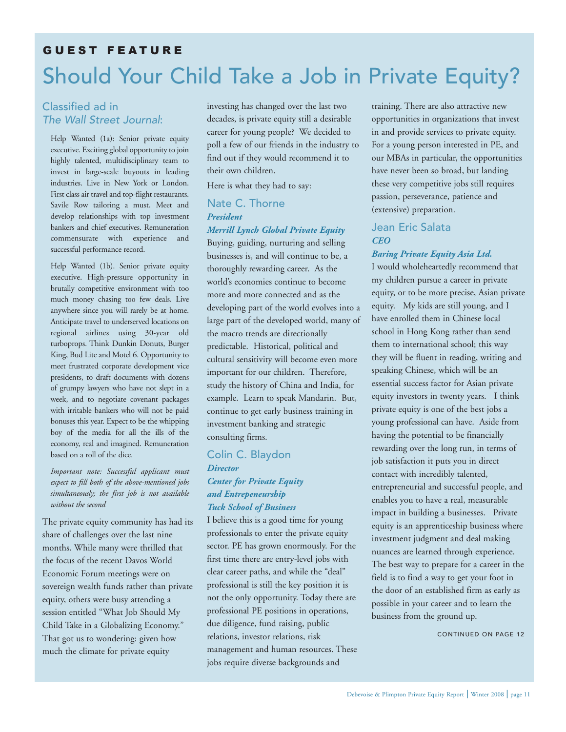# Should Your Child Take a Job in Private Equity? GUEST FEATURE

## Classified ad in The Wall Street Journal:

Help Wanted (1a): Senior private equity executive. Exciting global opportunity to join highly talented, multidisciplinary team to invest in large-scale buyouts in leading industries. Live in New York or London. First class air travel and top-flight restaurants. Savile Row tailoring a must. Meet and develop relationships with top investment bankers and chief executives. Remuneration commensurate with experience and successful performance record.

Help Wanted (1b). Senior private equity executive. High-pressure opportunity in brutally competitive environment with too much money chasing too few deals. Live anywhere since you will rarely be at home. Anticipate travel to underserved locations on regional airlines using 30-year old turboprops. Think Dunkin Donuts, Burger King, Bud Lite and Motel 6. Opportunity to meet frustrated corporate development vice presidents, to draft documents with dozens of grumpy lawyers who have not slept in a week, and to negotiate covenant packages with irritable bankers who will not be paid bonuses this year. Expect to be the whipping boy of the media for all the ills of the economy, real and imagined. Remuneration based on a roll of the dice.

*Important note: Successful applicant must expect to fill both of the above-mentioned jobs simultaneously; the first job is not available without the second*

The private equity community has had its share of challenges over the last nine months. While many were thrilled that the focus of the recent Davos World Economic Forum meetings were on sovereign wealth funds rather than private equity, others were busy attending a session entitled "What Job Should My Child Take in a Globalizing Economy." That got us to wondering: given how much the climate for private equity

investing has changed over the last two decades, is private equity still a desirable career for young people? We decided to poll a few of our friends in the industry to find out if they would recommend it to their own children.

Here is what they had to say:

## Nate C. Thorne *President*

#### *Merrill Lynch Global Private Equity*

Buying, guiding, nurturing and selling businesses is, and will continue to be, a thoroughly rewarding career. As the world's economies continue to become more and more connected and as the developing part of the world evolves into a large part of the developed world, many of the macro trends are directionally predictable. Historical, political and cultural sensitivity will become even more important for our children. Therefore, study the history of China and India, for example. Learn to speak Mandarin. But, continue to get early business training in investment banking and strategic consulting firms.

#### Colin C. Blaydon *Director*

## *Center for Private Equity and Entrepeneurship Tuck School of Business*

I believe this is a good time for young professionals to enter the private equity sector. PE has grown enormously. For the first time there are entry-level jobs with clear career paths, and while the "deal" professional is still the key position it is not the only opportunity. Today there are professional PE positions in operations, due diligence, fund raising, public relations, investor relations, risk management and human resources. These jobs require diverse backgrounds and

training. There are also attractive new opportunities in organizations that invest in and provide services to private equity. For a young person interested in PE, and our MBAs in particular, the opportunities have never been so broad, but landing these very competitive jobs still requires passion, perseverance, patience and (extensive) preparation.

## Jean Eric Salata *CEO*

## *Baring Private Equity Asia Ltd.*

I would wholeheartedly recommend that my children pursue a career in private equity, or to be more precise, Asian private equity. My kids are still young, and I have enrolled them in Chinese local school in Hong Kong rather than send them to international school; this way they will be fluent in reading, writing and speaking Chinese, which will be an essential success factor for Asian private equity investors in twenty years. I think private equity is one of the best jobs a young professional can have. Aside from having the potential to be financially rewarding over the long run, in terms of job satisfaction it puts you in direct contact with incredibly talented, entrepreneurial and successful people, and enables you to have a real, measurable impact in building a businesses. Private equity is an apprenticeship business where investment judgment and deal making nuances are learned through experience. The best way to prepare for a career in the field is to find a way to get your foot in the door of an established firm as early as possible in your career and to learn the business from the ground up.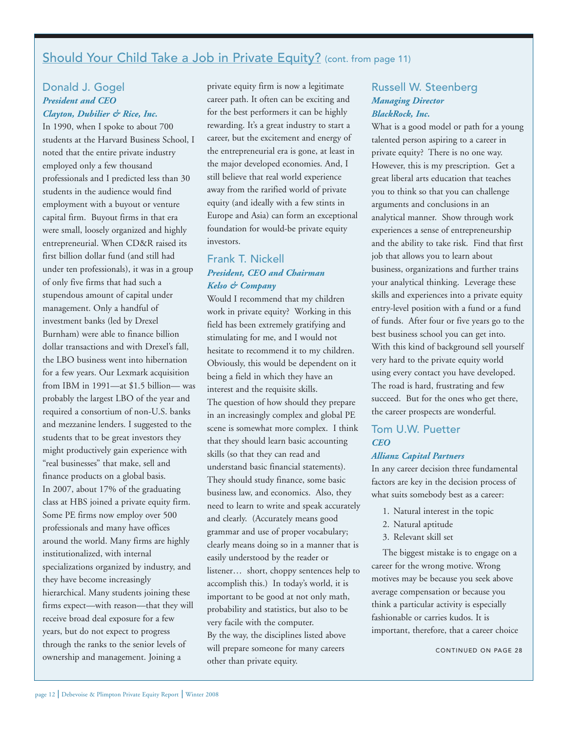## Should Your Child Take a Job in Private Equity? (cont. from page 11)

## Donald J. Gogel *President and CEO Clayton, Dubilier & Rice, Inc.*

In 1990, when I spoke to about 700 students at the Harvard Business School, I noted that the entire private industry employed only a few thousand professionals and I predicted less than 30 students in the audience would find employment with a buyout or venture capital firm. Buyout firms in that era were small, loosely organized and highly entrepreneurial. When CD&R raised its first billion dollar fund (and still had under ten professionals), it was in a group of only five firms that had such a stupendous amount of capital under management. Only a handful of investment banks (led by Drexel Burnham) were able to finance billion dollar transactions and with Drexel's fall, the LBO business went into hibernation for a few years. Our Lexmark acquisition from IBM in 1991—at \$1.5 billion— was probably the largest LBO of the year and required a consortium of non-U.S. banks and mezzanine lenders. I suggested to the students that to be great investors they might productively gain experience with "real businesses" that make, sell and finance products on a global basis. In 2007, about 17% of the graduating class at HBS joined a private equity firm. Some PE firms now employ over 500 professionals and many have offices around the world. Many firms are highly institutionalized, with internal specializations organized by industry, and they have become increasingly hierarchical. Many students joining these firms expect—with reason—that they will receive broad deal exposure for a few years, but do not expect to progress through the ranks to the senior levels of ownership and management. Joining a

private equity firm is now a legitimate career path. It often can be exciting and for the best performers it can be highly rewarding. It's a great industry to start a career, but the excitement and energy of the entrepreneurial era is gone, at least in the major developed economies. And, I still believe that real world experience away from the rarified world of private equity (and ideally with a few stints in Europe and Asia) can form an exceptional foundation for would-be private equity investors.

## Frank T. Nickell *President, CEO and Chairman Kelso & Company*

Would I recommend that my children work in private equity? Working in this field has been extremely gratifying and stimulating for me, and I would not hesitate to recommend it to my children. Obviously, this would be dependent on it being a field in which they have an interest and the requisite skills. The question of how should they prepare in an increasingly complex and global PE scene is somewhat more complex. I think that they should learn basic accounting skills (so that they can read and understand basic financial statements). They should study finance, some basic business law, and economics. Also, they need to learn to write and speak accurately and clearly. (Accurately means good grammar and use of proper vocabulary; clearly means doing so in a manner that is easily understood by the reader or listener… short, choppy sentences help to accomplish this.) In today's world, it is important to be good at not only math, probability and statistics, but also to be very facile with the computer. By the way, the disciplines listed above will prepare someone for many careers other than private equity.

## Russell W. Steenberg *Managing Director BlackRock, Inc.*

What is a good model or path for a young talented person aspiring to a career in private equity? There is no one way. However, this is my prescription. Get a great liberal arts education that teaches you to think so that you can challenge arguments and conclusions in an analytical manner. Show through work experiences a sense of entrepreneurship and the ability to take risk. Find that first job that allows you to learn about business, organizations and further trains your analytical thinking. Leverage these skills and experiences into a private equity entry-level position with a fund or a fund of funds. After four or five years go to the best business school you can get into. With this kind of background sell yourself very hard to the private equity world using every contact you have developed. The road is hard, frustrating and few succeed. But for the ones who get there, the career prospects are wonderful.

## Tom U.W. Puetter *CEO*

#### *Allianz Capital Partners*

In any career decision three fundamental factors are key in the decision process of what suits somebody best as a career:

- 1. Natural interest in the topic
- 2. Natural aptitude
- 3. Relevant skill set

The biggest mistake is to engage on a career for the wrong motive. Wrong motives may be because you seek above average compensation or because you think a particular activity is especially fashionable or carries kudos. It is important, therefore, that a career choice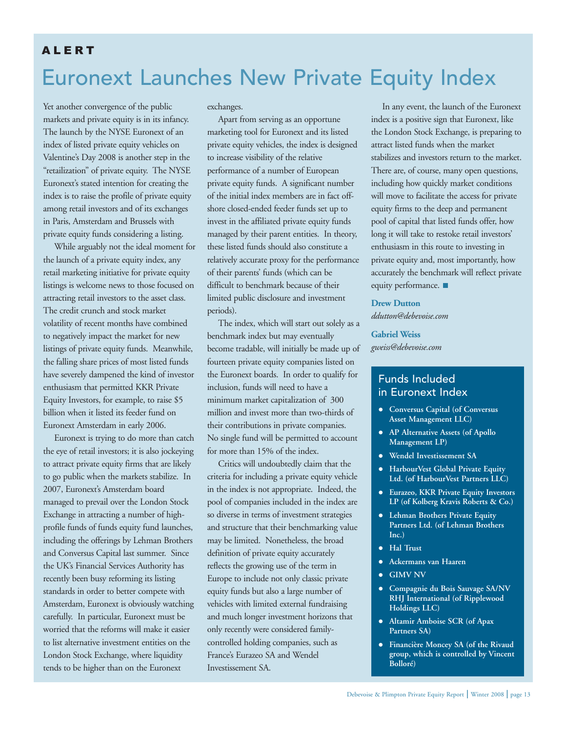## ALERT

# Euronext Launches New Private Equity Index

Yet another convergence of the public markets and private equity is in its infancy. The launch by the NYSE Euronext of an index of listed private equity vehicles on Valentine's Day 2008 is another step in the "retailization" of private equity. The NYSE Euronext's stated intention for creating the index is to raise the profile of private equity among retail investors and of its exchanges in Paris, Amsterdam and Brussels with private equity funds considering a listing.

While arguably not the ideal moment for the launch of a private equity index, any retail marketing initiative for private equity listings is welcome news to those focused on attracting retail investors to the asset class. The credit crunch and stock market volatility of recent months have combined to negatively impact the market for new listings of private equity funds. Meanwhile, the falling share prices of most listed funds have severely dampened the kind of investor enthusiasm that permitted KKR Private Equity Investors, for example, to raise \$5 billion when it listed its feeder fund on Euronext Amsterdam in early 2006.

Euronext is trying to do more than catch the eye of retail investors; it is also jockeying to attract private equity firms that are likely to go public when the markets stabilize. In 2007, Euronext's Amsterdam board managed to prevail over the London Stock Exchange in attracting a number of highprofile funds of funds equity fund launches, including the offerings by Lehman Brothers and Conversus Capital last summer. Since the UK's Financial Services Authority has recently been busy reforming its listing standards in order to better compete with Amsterdam, Euronext is obviously watching carefully. In particular, Euronext must be worried that the reforms will make it easier to list alternative investment entities on the London Stock Exchange, where liquidity tends to be higher than on the Euronext

exchanges.

Apart from serving as an opportune marketing tool for Euronext and its listed private equity vehicles, the index is designed to increase visibility of the relative performance of a number of European private equity funds. A significant number of the initial index members are in fact offshore closed-ended feeder funds set up to invest in the affiliated private equity funds managed by their parent entities. In theory, these listed funds should also constitute a relatively accurate proxy for the performance of their parents' funds (which can be difficult to benchmark because of their limited public disclosure and investment periods).

The index, which will start out solely as a benchmark index but may eventually become tradable, will initially be made up of fourteen private equity companies listed on the Euronext boards. In order to qualify for inclusion, funds will need to have a minimum market capitalization of 300 million and invest more than two-thirds of their contributions in private companies. No single fund will be permitted to account for more than 15% of the index.

Critics will undoubtedly claim that the criteria for including a private equity vehicle in the index is not appropriate. Indeed, the pool of companies included in the index are so diverse in terms of investment strategies and structure that their benchmarking value may be limited. Nonetheless, the broad definition of private equity accurately reflects the growing use of the term in Europe to include not only classic private equity funds but also a large number of vehicles with limited external fundraising and much longer investment horizons that only recently were considered familycontrolled holding companies, such as France's Eurazeo SA and Wendel Investissement SA.

In any event, the launch of the Euronext index is a positive sign that Euronext, like the London Stock Exchange, is preparing to attract listed funds when the market stabilizes and investors return to the market. There are, of course, many open questions, including how quickly market conditions will move to facilitate the access for private equity firms to the deep and permanent pool of capital that listed funds offer, how long it will take to restoke retail investors' enthusiasm in this route to investing in private equity and, most importantly, how accurately the benchmark will reflect private equity performance.

#### **Drew Dutton**

*ddutton@debevoise.com*

### **Gabriel Weiss**

*gweiss@debevoise.com*

## Funds Included in Euronext Index

- **Conversus Capital (of Conversus Asset Management LLC)**
- **AP Alternative Assets (of Apollo Management LP)**
- **Wendel Investissement SA**
- **HarbourVest Global Private Equity Ltd. (of HarbourVest Partners LLC)**
- **Eurazeo, KKR Private Equity Investors LP (of Kolberg Kravis Roberts & Co.)**
- **Lehman Brothers Private Equity Partners Ltd. (of Lehman Brothers Inc.)**
- **Hal Trust**
- **Ackermans van Haaren**
- **GIMV NV**
- **Compagnie du Bois Sauvage SA/NV RHJ International (of Ripplewood Holdings LLC)**
- **Altamir Amboise SCR (of Apax Partners SA)**
- **Financière Moncey SA (of the Rivaud group, which is controlled by Vincent Bolloré)**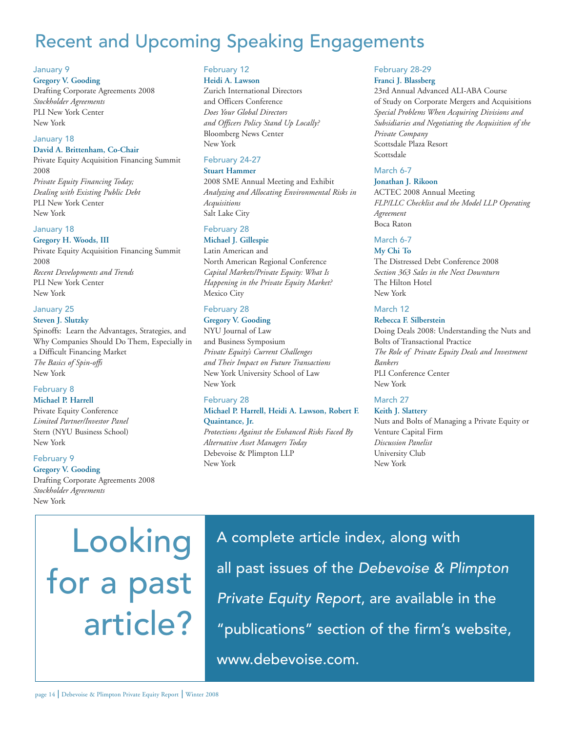# Recent and Upcoming Speaking Engagements

#### January 9

#### **Gregory V. Gooding**

Drafting Corporate Agreements 2008 *Stockholder Agreements* PLI New York Center New York

#### January 18

#### **David A. Brittenham, Co-Chair**

Private Equity Acquisition Financing Summit 2008 *Private Equity Financing Today; Dealing with Existing Public Debt* PLI New York Center

New York

#### January 18

**Gregory H. Woods, III** Private Equity Acquisition Financing Summit 2008 *Recent Developments and Trends* PLI New York Center New York

#### January 25

#### **Steven J. Slutzky**

Spinoffs: Learn the Advantages, Strategies, and Why Companies Should Do Them, Especially in a Difficult Financing Market *The Basics of Spin-offs* New York

## February 8

## **Michael P. Harrell**

Private Equity Conference *Limited Partner/Investor Panel* Stern (NYU Business School) New York

#### February 9

**Gregory V. Gooding** Drafting Corporate Agreements 2008 *Stockholder Agreements* New York

#### February 12 **Heidi A. Lawson**

Zurich International Directors and Officers Conference *Does Your Global Directors and Officers Policy Stand Up Locally?* Bloomberg News Center New York

#### February 24-27

#### **Stuart Hammer**

2008 SME Annual Meeting and Exhibit *Analyzing and Allocating Environmental Risks in Acquisitions* Salt Lake City

## February 28

**Michael J. Gillespie** Latin American and North American Regional Conference *Capital Markets/Private Equity: What Is Happening in the Private Equity Market?* Mexico City

### February 28

#### **Gregory V. Gooding** NYU Journal of Law

and Business Symposium *Private Equity's Current Challenges and Their Impact on Future Transactions* New York University School of Law New York

#### February 28 **Michael P. Harrell, Heidi A. Lawson, Robert F. Quaintance, Jr.**

*Protections Against the Enhanced Risks Faced By Alternative Asset Managers Today* Debevoise & Plimpton LLP New York

#### February 28-29 **Franci J. Blassberg**

23rd Annual Advanced ALI-ABA Course of Study on Corporate Mergers and Acquisitions *Special Problems When Acquiring Divisions and Subsidiaries and Negotiating the Acquisition of the Private Company* Scottsdale Plaza Resort Scottsdale

#### March 6-7

#### **Jonathan J. Rikoon**

ACTEC 2008 Annual Meeting *FLP/LLC Checklist and the Model LLP Operating Agreement* Boca Raton

#### March 6-7

#### **My Chi To**

The Distressed Debt Conference 2008 *Section 363 Sales in the Next Downturn* The Hilton Hotel New York

#### March 12

#### **Rebecca F. Silberstein**

Doing Deals 2008: Understanding the Nuts and Bolts of Transactional Practice *The Role of Private Equity Deals and Investment Bankers* PLI Conference Center New York

#### March 27

## **Keith J. Slattery**

Nuts and Bolts of Managing a Private Equity or Venture Capital Firm *Discussion Panelist* University Club New York

Looking for a past article? A complete article index, along with all past issues of the Debevoise & Plimpton Private Equity Report, are available in the "publications" section of the firm's website, www.debevoise.com.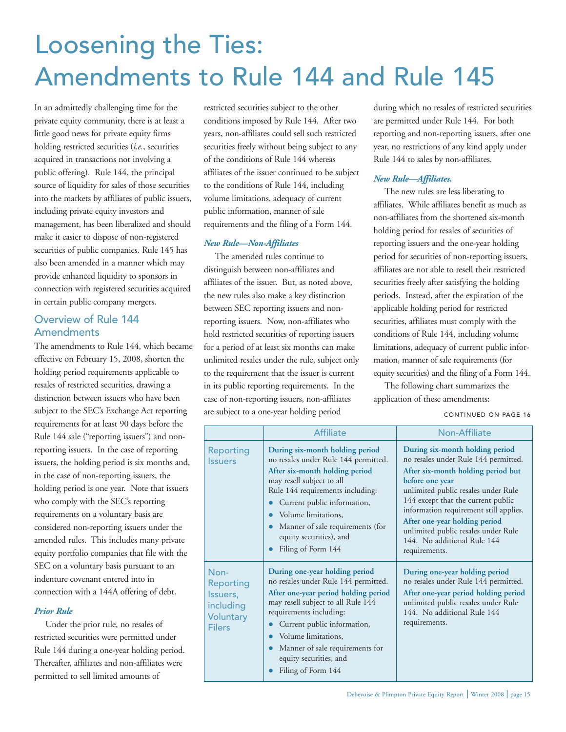# Loosening the Ties: Amendments to Rule 144 and Rule 145

In an admittedly challenging time for the private equity community, there is at least a little good news for private equity firms holding restricted securities (*i.e.*, securities acquired in transactions not involving a public offering). Rule 144, the principal source of liquidity for sales of those securities into the markets by affiliates of public issuers, including private equity investors and management, has been liberalized and should make it easier to dispose of non-registered securities of public companies. Rule 145 has also been amended in a manner which may provide enhanced liquidity to sponsors in connection with registered securities acquired in certain public company mergers.

## Overview of Rule 144 **Amendments**

The amendments to Rule 144, which became effective on February 15, 2008, shorten the holding period requirements applicable to resales of restricted securities, drawing a distinction between issuers who have been subject to the SEC's Exchange Act reporting requirements for at least 90 days before the Rule 144 sale ("reporting issuers") and nonreporting issuers. In the case of reporting issuers, the holding period is six months and, in the case of non-reporting issuers, the holding period is one year. Note that issuers who comply with the SEC's reporting requirements on a voluntary basis are considered non-reporting issuers under the amended rules. This includes many private equity portfolio companies that file with the SEC on a voluntary basis pursuant to an indenture covenant entered into in connection with a 144A offering of debt.

### *Prior Rule*

Under the prior rule, no resales of restricted securities were permitted under Rule 144 during a one-year holding period. Thereafter, affiliates and non-affiliates were permitted to sell limited amounts of

restricted securities subject to the other conditions imposed by Rule 144. After two years, non-affiliates could sell such restricted securities freely without being subject to any of the conditions of Rule 144 whereas affiliates of the issuer continued to be subject to the conditions of Rule 144, including volume limitations, adequacy of current public information, manner of sale requirements and the filing of a Form 144.

#### *New Rule—Non-Affiliates*

The amended rules continue to distinguish between non-affiliates and affiliates of the issuer. But, as noted above, the new rules also make a key distinction between SEC reporting issuers and nonreporting issuers. Now, non-affiliates who hold restricted securities of reporting issuers for a period of at least six months can make unlimited resales under the rule, subject only to the requirement that the issuer is current in its public reporting requirements. In the case of non-reporting issuers, non-affiliates are subject to a one-year holding period

during which no resales of restricted securities are permitted under Rule 144. For both reporting and non-reporting issuers, after one year, no restrictions of any kind apply under Rule 144 to sales by non-affiliates.

## *New Rule—Affiliates.*

The new rules are less liberating to affiliates. While affiliates benefit as much as non-affiliates from the shortened six-month holding period for resales of securities of reporting issuers and the one-year holding period for securities of non-reporting issuers, affiliates are not able to resell their restricted securities freely after satisfying the holding periods. Instead, after the expiration of the applicable holding period for restricted securities, affiliates must comply with the conditions of Rule 144, including volume limitations, adequacy of current public information, manner of sale requirements (for equity securities) and the filing of a Form 144.

The following chart summarizes the application of these amendments:

CONTINUED ON PAGE 16

|                                                                                 | <b>Affiliate</b>                                                                                                                                                                                                                                                                                                                      | Non-Affiliate                                                                                                                                                                                                                                                                                                                                                                   |  |
|---------------------------------------------------------------------------------|---------------------------------------------------------------------------------------------------------------------------------------------------------------------------------------------------------------------------------------------------------------------------------------------------------------------------------------|---------------------------------------------------------------------------------------------------------------------------------------------------------------------------------------------------------------------------------------------------------------------------------------------------------------------------------------------------------------------------------|--|
| Reporting<br><b>Issuers</b>                                                     | During six-month holding period<br>no resales under Rule 144 permitted.<br>After six-month holding period<br>may resell subject to all<br>Rule 144 requirements including:<br>Current public information,<br>Volume limitations,<br>Manner of sale requirements (for<br>$\bullet$<br>equity securities), and<br>Filing of Form 144    | During six-month holding period<br>no resales under Rule 144 permitted.<br>After six-month holding period but<br>before one year<br>unlimited public resales under Rule<br>144 except that the current public<br>information requirement still applies.<br>After one-year holding period<br>unlimited public resales under Rule<br>144. No additional Rule 144<br>requirements. |  |
| Non-<br><b>Reporting</b><br>Issuers,<br>including<br>Voluntary<br><b>Filers</b> | During one-year holding period<br>no resales under Rule 144 permitted.<br>After one-year period holding period<br>may resell subject to all Rule 144<br>requirements including:<br>Current public information,<br>Volume limitations,<br>Manner of sale requirements for<br>$\bullet$<br>equity securities, and<br>Filing of Form 144 | During one-year holding period<br>no resales under Rule 144 permitted.<br>After one-year period holding period<br>unlimited public resales under Rule<br>144. No additional Rule 144<br>requirements.                                                                                                                                                                           |  |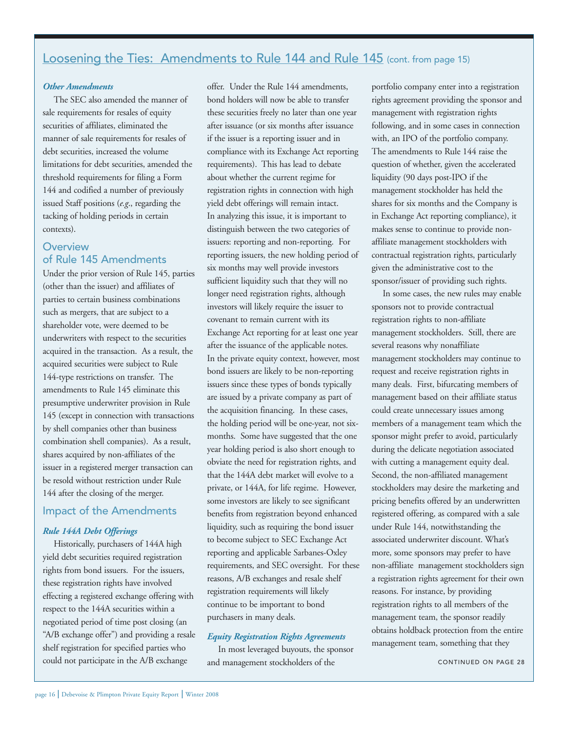## Loosening the Ties: Amendments to Rule 144 and Rule 145 (cont. from page 15)

### *Other Amendments*

The SEC also amended the manner of sale requirements for resales of equity securities of affiliates, eliminated the manner of sale requirements for resales of debt securities, increased the volume limitations for debt securities, amended the threshold requirements for filing a Form 144 and codified a number of previously issued Staff positions (*e.g*., regarding the tacking of holding periods in certain contexts).

## **Overview** of Rule 145 Amendments

Under the prior version of Rule 145, parties (other than the issuer) and affiliates of parties to certain business combinations such as mergers, that are subject to a shareholder vote, were deemed to be underwriters with respect to the securities acquired in the transaction. As a result, the acquired securities were subject to Rule 144-type restrictions on transfer. The amendments to Rule 145 eliminate this presumptive underwriter provision in Rule 145 (except in connection with transactions by shell companies other than business combination shell companies). As a result, shares acquired by non-affiliates of the issuer in a registered merger transaction can be resold without restriction under Rule 144 after the closing of the merger.

## Impact of the Amendments

#### *Rule 144A Debt Offerings*

Historically, purchasers of 144A high yield debt securities required registration rights from bond issuers. For the issuers, these registration rights have involved effecting a registered exchange offering with respect to the 144A securities within a negotiated period of time post closing (an "A/B exchange offer") and providing a resale shelf registration for specified parties who could not participate in the A/B exchange

offer. Under the Rule 144 amendments, bond holders will now be able to transfer these securities freely no later than one year after issuance (or six months after issuance if the issuer is a reporting issuer and in compliance with its Exchange Act reporting requirements). This has lead to debate about whether the current regime for registration rights in connection with high yield debt offerings will remain intact. In analyzing this issue, it is important to distinguish between the two categories of issuers: reporting and non-reporting. For reporting issuers, the new holding period of six months may well provide investors sufficient liquidity such that they will no longer need registration rights, although investors will likely require the issuer to covenant to remain current with its Exchange Act reporting for at least one year after the issuance of the applicable notes. In the private equity context, however, most bond issuers are likely to be non-reporting issuers since these types of bonds typically are issued by a private company as part of the acquisition financing. In these cases, the holding period will be one-year, not sixmonths. Some have suggested that the one year holding period is also short enough to obviate the need for registration rights, and that the 144A debt market will evolve to a private, or 144A, for life regime. However, some investors are likely to see significant benefits from registration beyond enhanced liquidity, such as requiring the bond issuer to become subject to SEC Exchange Act reporting and applicable Sarbanes-Oxley requirements, and SEC oversight. For these reasons, A/B exchanges and resale shelf registration requirements will likely continue to be important to bond purchasers in many deals.

#### *Equity Registration Rights Agreements*

In most leveraged buyouts, the sponsor and management stockholders of the

portfolio company enter into a registration rights agreement providing the sponsor and management with registration rights following, and in some cases in connection with, an IPO of the portfolio company. The amendments to Rule 144 raise the question of whether, given the accelerated liquidity (90 days post-IPO if the management stockholder has held the shares for six months and the Company is in Exchange Act reporting compliance), it makes sense to continue to provide nonaffiliate management stockholders with contractual registration rights, particularly given the administrative cost to the sponsor/issuer of providing such rights.

In some cases, the new rules may enable sponsors not to provide contractual registration rights to non-affiliate management stockholders. Still, there are several reasons why nonaffiliate management stockholders may continue to request and receive registration rights in many deals. First, bifurcating members of management based on their affiliate status could create unnecessary issues among members of a management team which the sponsor might prefer to avoid, particularly during the delicate negotiation associated with cutting a management equity deal. Second, the non-affiliated management stockholders may desire the marketing and pricing benefits offered by an underwritten registered offering, as compared with a sale under Rule 144, notwithstanding the associated underwriter discount. What's more, some sponsors may prefer to have non-affiliate management stockholders sign a registration rights agreement for their own reasons. For instance, by providing registration rights to all members of the management team, the sponsor readily obtains holdback protection from the entire management team, something that they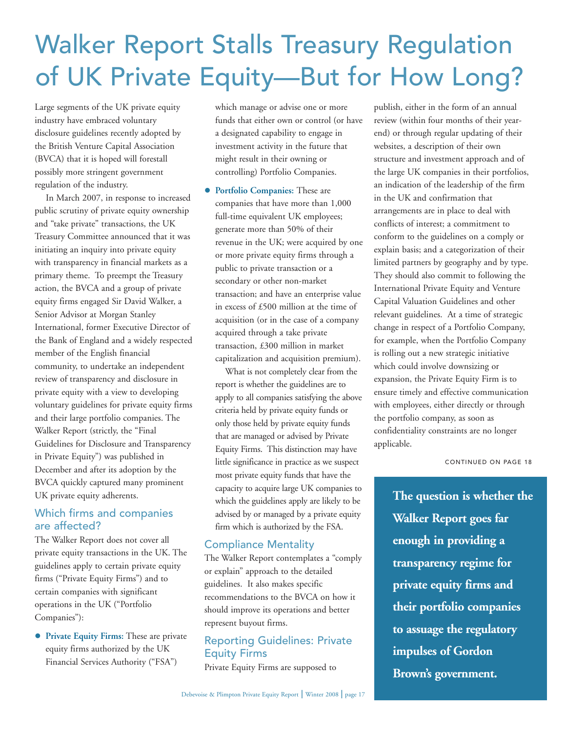# Walker Report Stalls Treasury Regulation of UK Private Equity—But for How Long?

Large segments of the UK private equity industry have embraced voluntary disclosure guidelines recently adopted by the British Venture Capital Association (BVCA) that it is hoped will forestall possibly more stringent government regulation of the industry.

In March 2007, in response to increased public scrutiny of private equity ownership and "take private" transactions, the UK Treasury Committee announced that it was initiating an inquiry into private equity with transparency in financial markets as a primary theme. To preempt the Treasury action, the BVCA and a group of private equity firms engaged Sir David Walker, a Senior Advisor at Morgan Stanley International, former Executive Director of the Bank of England and a widely respected member of the English financial community, to undertake an independent review of transparency and disclosure in private equity with a view to developing voluntary guidelines for private equity firms and their large portfolio companies. The Walker Report (strictly, the "Final Guidelines for Disclosure and Transparency in Private Equity") was published in December and after its adoption by the BVCA quickly captured many prominent UK private equity adherents.

## Which firms and companies are affected?

The Walker Report does not cover all private equity transactions in the UK. The guidelines apply to certain private equity firms ("Private Equity Firms") and to certain companies with significant operations in the UK ("Portfolio Companies"):

 **Private Equity Firms:** These are private equity firms authorized by the UK Financial Services Authority ("FSA")

which manage or advise one or more funds that either own or control (or have a designated capability to engage in investment activity in the future that might result in their owning or controlling) Portfolio Companies.

 **Portfolio Companies:** These are companies that have more than 1,000 full-time equivalent UK employees; generate more than 50% of their revenue in the UK; were acquired by one or more private equity firms through a public to private transaction or a secondary or other non-market transaction; and have an enterprise value in excess of £500 million at the time of acquisition (or in the case of a company acquired through a take private transaction, £300 million in market capitalization and acquisition premium).

What is not completely clear from the report is whether the guidelines are to apply to all companies satisfying the above criteria held by private equity funds or only those held by private equity funds that are managed or advised by Private Equity Firms. This distinction may have little significance in practice as we suspect most private equity funds that have the capacity to acquire large UK companies to which the guidelines apply are likely to be advised by or managed by a private equity firm which is authorized by the FSA.

## Compliance Mentality

The Walker Report contemplates a "comply or explain" approach to the detailed guidelines. It also makes specific recommendations to the BVCA on how it should improve its operations and better represent buyout firms.

## Reporting Guidelines: Private Equity Firms

Private Equity Firms are supposed to

publish, either in the form of an annual review (within four months of their yearend) or through regular updating of their websites, a description of their own structure and investment approach and of the large UK companies in their portfolios, an indication of the leadership of the firm in the UK and confirmation that arrangements are in place to deal with conflicts of interest; a commitment to conform to the guidelines on a comply or explain basis; and a categorization of their limited partners by geography and by type. They should also commit to following the International Private Equity and Venture Capital Valuation Guidelines and other relevant guidelines. At a time of strategic change in respect of a Portfolio Company, for example, when the Portfolio Company is rolling out a new strategic initiative which could involve downsizing or expansion, the Private Equity Firm is to ensure timely and effective communication with employees, either directly or through the portfolio company, as soon as confidentiality constraints are no longer applicable.

CONTINUED ON PAGE 18

**The question is whether the Walker Report goes far enough in providing a transparency regime for private equity firms and their portfolio companies to assuage the regulatory impulses of Gordon Brown's government.**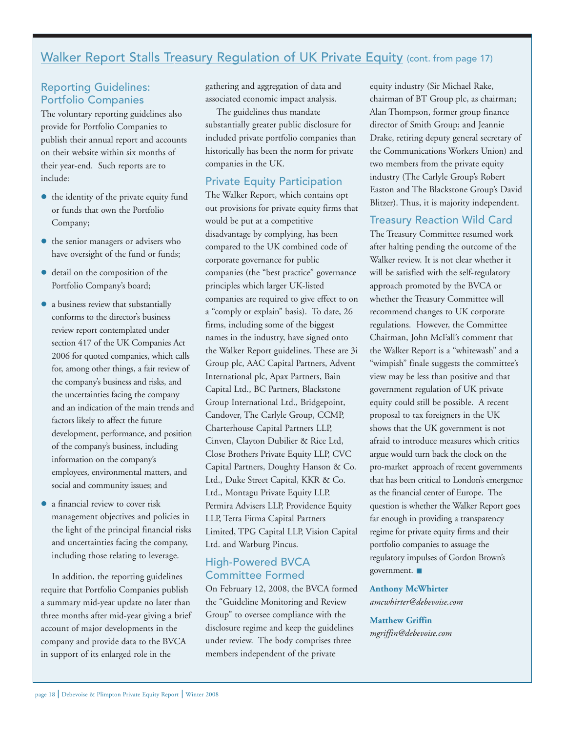# Walker Report Stalls Treasury Regulation of UK Private Equity (cont. from page 17)

## Reporting Guidelines: Portfolio Companies

The voluntary reporting guidelines also provide for Portfolio Companies to publish their annual report and accounts on their website within six months of their year-end. Such reports are to include:

- $\bullet$  the identity of the private equity fund or funds that own the Portfolio Company;
- the senior managers or advisers who have oversight of the fund or funds;
- detail on the composition of the Portfolio Company's board;
- a business review that substantially conforms to the director's business review report contemplated under section 417 of the UK Companies Act 2006 for quoted companies, which calls for, among other things, a fair review of the company's business and risks, and the uncertainties facing the company and an indication of the main trends and factors likely to affect the future development, performance, and position of the company's business, including information on the company's employees, environmental matters, and social and community issues; and
- a financial review to cover risk management objectives and policies in the light of the principal financial risks and uncertainties facing the company, including those relating to leverage.

In addition, the reporting guidelines require that Portfolio Companies publish a summary mid-year update no later than three months after mid-year giving a brief account of major developments in the company and provide data to the BVCA in support of its enlarged role in the

gathering and aggregation of data and associated economic impact analysis.

The guidelines thus mandate substantially greater public disclosure for included private portfolio companies than historically has been the norm for private companies in the UK.

#### Private Equity Participation

The Walker Report, which contains opt out provisions for private equity firms that would be put at a competitive disadvantage by complying, has been compared to the UK combined code of corporate governance for public companies (the "best practice" governance principles which larger UK-listed companies are required to give effect to on a "comply or explain" basis). To date, 26 firms, including some of the biggest names in the industry, have signed onto the Walker Report guidelines. These are 3i Group plc, AAC Capital Partners, Advent International plc, Apax Partners, Bain Capital Ltd., BC Partners, Blackstone Group International Ltd., Bridgepoint, Candover, The Carlyle Group, CCMP, Charterhouse Capital Partners LLP, Cinven, Clayton Dubilier & Rice Ltd, Close Brothers Private Equity LLP, CVC Capital Partners, Doughty Hanson & Co. Ltd., Duke Street Capital, KKR & Co. Ltd., Montagu Private Equity LLP, Permira Advisers LLP, Providence Equity LLP, Terra Firma Capital Partners Limited, TPG Capital LLP, Vision Capital Ltd. and Warburg Pincus.

## High-Powered BVCA Committee Formed

On February 12, 2008, the BVCA formed the "Guideline Monitoring and Review Group" to oversee compliance with the disclosure regime and keep the guidelines under review. The body comprises three members independent of the private

equity industry (Sir Michael Rake, chairman of BT Group plc, as chairman; Alan Thompson, former group finance director of Smith Group; and Jeannie Drake, retiring deputy general secretary of the Communications Workers Union) and two members from the private equity industry (The Carlyle Group's Robert Easton and The Blackstone Group's David Blitzer). Thus, it is majority independent.

## Treasury Reaction Wild Card

The Treasury Committee resumed work after halting pending the outcome of the Walker review. It is not clear whether it will be satisfied with the self-regulatory approach promoted by the BVCA or whether the Treasury Committee will recommend changes to UK corporate regulations. However, the Committee Chairman, John McFall's comment that the Walker Report is a "whitewash" and a "wimpish" finale suggests the committee's view may be less than positive and that government regulation of UK private equity could still be possible. A recent proposal to tax foreigners in the UK shows that the UK government is not afraid to introduce measures which critics argue would turn back the clock on the pro-market approach of recent governments that has been critical to London's emergence as the financial center of Europe. The question is whether the Walker Report goes far enough in providing a transparency regime for private equity firms and their portfolio companies to assuage the regulatory impulses of Gordon Brown's government.

**Anthony McWhirter** *amcwhirter@debevoise.com*

#### **Matthew Griffin**

*mgriffin@debevoise.com*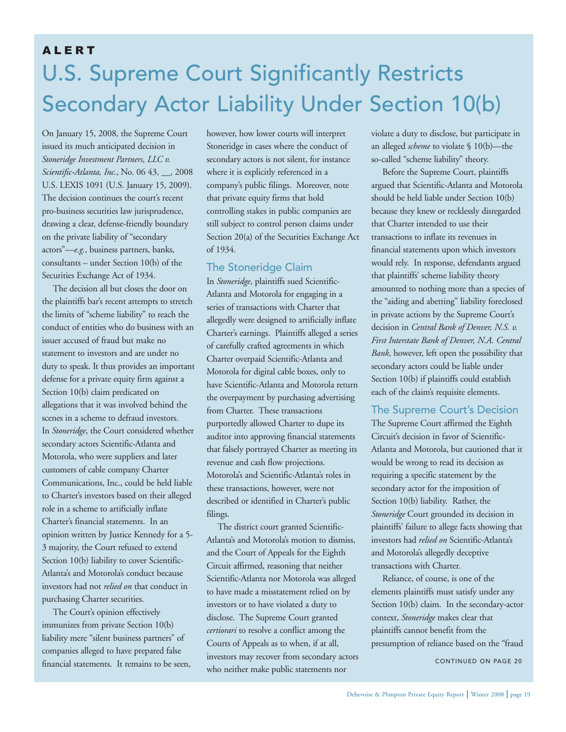# U.S. Supreme Court Significantly Restricts Secondary Actor Liability Under Section 10(b) ALERT

On January 15, 2008, the Supreme Court issued its much anticipated decision in *Stoneridge Investment Partners, LLC v. Scientific-Atlanta, Inc.*, No. 06 43, \_\_, 2008 U.S. LEXIS 1091 (U.S. January 15, 2009). The decision continues the court's recent pro-business securities law jurisprudence, drawing a clear, defense-friendly boundary on the private liability of "secondary actors"—*e.g.*, business partners, banks, consultants – under Section 10(b) of the Securities Exchange Act of 1934.

The decision all but closes the door on the plaintiffs bar's recent attempts to stretch the limits of "scheme liability" to reach the conduct of entities who do business with an issuer accused of fraud but make no statement to investors and are under no duty to speak. It thus provides an important defense for a private equity firm against a Section 10(b) claim predicated on allegations that it was involved behind the scenes in a scheme to defraud investors. In *Stoneridge*, the Court considered whether secondary actors Scientific-Atlanta and Motorola, who were suppliers and later customers of cable company Charter Communications, Inc., could be held liable to Charter's investors based on their alleged role in a scheme to artificially inflate Charter's financial statements. In an opinion written by Justice Kennedy for a 5- 3 majority, the Court refused to extend Section 10(b) liability to cover Scientific-Atlanta's and Motorola's conduct because investors had not *relied on* that conduct in purchasing Charter securities.

The Court's opinion effectively immunizes from private Section 10(b) liability mere "silent business partners" of companies alleged to have prepared false financial statements. It remains to be seen,

however, how lower courts will interpret Stoneridge in cases where the conduct of secondary actors is not silent, for instance where it is explicitly referenced in a company's public filings. Moreover, note that private equity firms that hold controlling stakes in public companies are still subject to control person claims under Section 20(a) of the Securities Exchange Act of 1934.

## The Stoneridge Claim

In *Stoneridge*, plaintiffs sued Scientific-Atlanta and Motorola for engaging in a series of transactions with Charter that allegedly were designed to artificially inflate Charter's earnings. Plaintiffs alleged a series of carefully crafted agreements in which Charter overpaid Scientific-Atlanta and Motorola for digital cable boxes, only to have Scientific-Atlanta and Motorola return the overpayment by purchasing advertising from Charter. These transactions purportedly allowed Charter to dupe its auditor into approving financial statements that falsely portrayed Charter as meeting its revenue and cash flow projections. Motorola's and Scientific-Atlanta's roles in these transactions, however, were not described or identified in Charter's public filings.

The district court granted Scientific-Atlanta's and Motorola's motion to dismiss, and the Court of Appeals for the Eighth Circuit affirmed, reasoning that neither Scientific-Atlanta nor Motorola was alleged to have made a misstatement relied on by investors or to have violated a duty to disclose. The Supreme Court granted *certiorari* to resolve a conflict among the Courts of Appeals as to when, if at all, investors may recover from secondary actors who neither make public statements nor

violate a duty to disclose, but participate in an alleged *scheme* to violate § 10(b)—the so-called "scheme liability" theory.

Before the Supreme Court, plaintiffs argued that Scientific-Atlanta and Motorola should be held liable under Section 10(b) because they knew or recklessly disregarded that Charter intended to use their transactions to inflate its revenues in financial statements upon which investors would rely. In response, defendants argued that plaintiffs' scheme liability theory amounted to nothing more than a species of the "aiding and abetting" liability foreclosed in private actions by the Supreme Court's decision in *Central Bank of Denver, N.S. v. First Interstate Bank of Denver, N.A. Central Bank*, however, left open the possibility that secondary actors could be liable under Section 10(b) if plaintiffs could establish each of the claim's requisite elements.

## The Supreme Court's Decision

The Supreme Court affirmed the Eighth Circuit's decision in favor of Scientific-Atlanta and Motorola, but cautioned that it would be wrong to read its decision as requiring a specific statement by the secondary actor for the imposition of Section 10(b) liability. Rather, the *Stoneridge* Court grounded its decision in plaintiffs' failure to allege facts showing that investors had *relied on* Scientific-Atlanta's and Motorola's allegedly deceptive transactions with Charter.

Reliance, of course, is one of the elements plaintiffs must satisfy under any Section 10(b) claim. In the secondary-actor context, *Stoneridge* makes clear that plaintiffs cannot benefit from the presumption of reliance based on the "fraud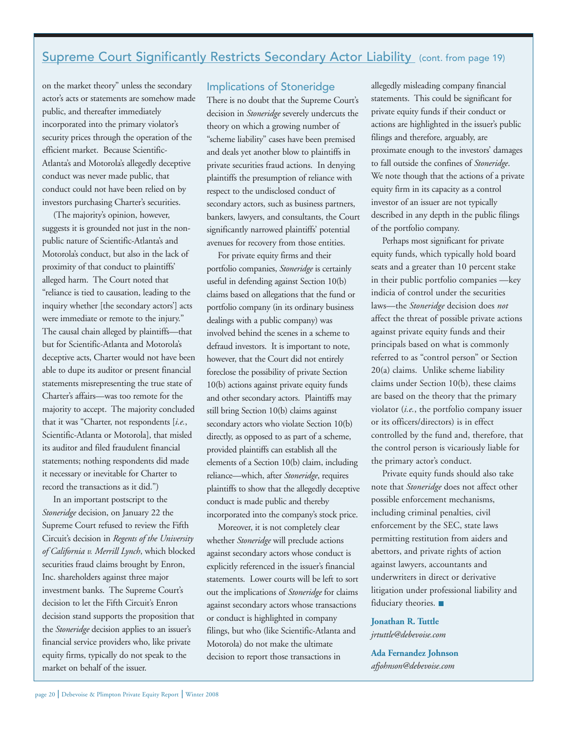# Supreme Court Significantly Restricts Secondary Actor Liability (cont. from page 19)

on the market theory" unless the secondary actor's acts or statements are somehow made public, and thereafter immediately incorporated into the primary violator's security prices through the operation of the efficient market. Because Scientific-Atlanta's and Motorola's allegedly deceptive conduct was never made public, that conduct could not have been relied on by investors purchasing Charter's securities.

(The majority's opinion, however, suggests it is grounded not just in the nonpublic nature of Scientific-Atlanta's and Motorola's conduct, but also in the lack of proximity of that conduct to plaintiffs' alleged harm. The Court noted that "reliance is tied to causation, leading to the inquiry whether [the secondary actors'] acts were immediate or remote to the injury." The causal chain alleged by plaintiffs—that but for Scientific-Atlanta and Motorola's deceptive acts, Charter would not have been able to dupe its auditor or present financial statements misrepresenting the true state of Charter's affairs—was too remote for the majority to accept. The majority concluded that it was "Charter, not respondents [*i.e.*, Scientific-Atlanta or Motorola], that misled its auditor and filed fraudulent financial statements; nothing respondents did made it necessary or inevitable for Charter to record the transactions as it did.")

In an important postscript to the *Stoneridge* decision, on January 22 the Supreme Court refused to review the Fifth Circuit's decision in *Regents of the University of California v. Merrill Lynch*, which blocked securities fraud claims brought by Enron, Inc. shareholders against three major investment banks. The Supreme Court's decision to let the Fifth Circuit's Enron decision stand supports the proposition that the *Stoneridge* decision applies to an issuer's financial service providers who, like private equity firms, typically do not speak to the market on behalf of the issuer.

## Implications of Stoneridge

There is no doubt that the Supreme Court's decision in *Stoneridge* severely undercuts the theory on which a growing number of "scheme liability" cases have been premised and deals yet another blow to plaintiffs in private securities fraud actions. In denying plaintiffs the presumption of reliance with respect to the undisclosed conduct of secondary actors, such as business partners, bankers, lawyers, and consultants, the Court significantly narrowed plaintiffs' potential avenues for recovery from those entities.

For private equity firms and their portfolio companies, *Stoneridge* is certainly useful in defending against Section 10(b) claims based on allegations that the fund or portfolio company (in its ordinary business dealings with a public company) was involved behind the scenes in a scheme to defraud investors. It is important to note, however, that the Court did not entirely foreclose the possibility of private Section 10(b) actions against private equity funds and other secondary actors. Plaintiffs may still bring Section 10(b) claims against secondary actors who violate Section 10(b) directly, as opposed to as part of a scheme, provided plaintiffs can establish all the elements of a Section 10(b) claim, including reliance—which, after *Stoneridge*, requires plaintiffs to show that the allegedly deceptive conduct is made public and thereby incorporated into the company's stock price.

Moreover, it is not completely clear whether *Stoneridge* will preclude actions against secondary actors whose conduct is explicitly referenced in the issuer's financial statements. Lower courts will be left to sort out the implications of *Stoneridge* for claims against secondary actors whose transactions or conduct is highlighted in company filings, but who (like Scientific-Atlanta and Motorola) do not make the ultimate decision to report those transactions in

allegedly misleading company financial statements. This could be significant for private equity funds if their conduct or actions are highlighted in the issuer's public filings and therefore, arguably, are proximate enough to the investors' damages to fall outside the confines of *Stoneridge*. We note though that the actions of a private equity firm in its capacity as a control investor of an issuer are not typically described in any depth in the public filings of the portfolio company.

Perhaps most significant for private equity funds, which typically hold board seats and a greater than 10 percent stake in their public portfolio companies —key indicia of control under the securities laws—the *Stoneridge* decision does *not* affect the threat of possible private actions against private equity funds and their principals based on what is commonly referred to as "control person" or Section 20(a) claims. Unlike scheme liability claims under Section 10(b), these claims are based on the theory that the primary violator (*i.e.*, the portfolio company issuer or its officers/directors) is in effect controlled by the fund and, therefore, that the control person is vicariously liable for the primary actor's conduct.

Private equity funds should also take note that *Stoneridge* does not affect other possible enforcement mechanisms, including criminal penalties, civil enforcement by the SEC, state laws permitting restitution from aiders and abettors, and private rights of action against lawyers, accountants and underwriters in direct or derivative litigation under professional liability and fiduciary theories.

**Jonathan R. Tuttle**  *jrtuttle@debevoise.com*

**Ada Fernandez Johnson**  *afjohnson@debevoise.com*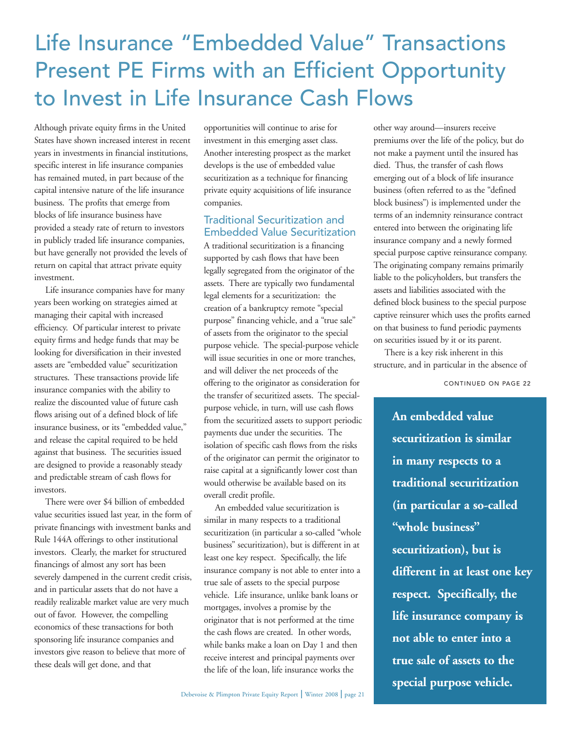# Life Insurance "Embedded Value" Transactions Present PE Firms with an Efficient Opportunity to Invest in Life Insurance Cash Flows

Although private equity firms in the United States have shown increased interest in recent years in investments in financial institutions, specific interest in life insurance companies has remained muted, in part because of the capital intensive nature of the life insurance business. The profits that emerge from blocks of life insurance business have provided a steady rate of return to investors in publicly traded life insurance companies, but have generally not provided the levels of return on capital that attract private equity investment.

Life insurance companies have for many years been working on strategies aimed at managing their capital with increased efficiency. Of particular interest to private equity firms and hedge funds that may be looking for diversification in their invested assets are "embedded value" securitization structures. These transactions provide life insurance companies with the ability to realize the discounted value of future cash flows arising out of a defined block of life insurance business, or its "embedded value," and release the capital required to be held against that business. The securities issued are designed to provide a reasonably steady and predictable stream of cash flows for investors.

There were over \$4 billion of embedded value securities issued last year, in the form of private financings with investment banks and Rule 144A offerings to other institutional investors. Clearly, the market for structured financings of almost any sort has been severely dampened in the current credit crisis, and in particular assets that do not have a readily realizable market value are very much out of favor. However, the compelling economics of these transactions for both sponsoring life insurance companies and investors give reason to believe that more of these deals will get done, and that

opportunities will continue to arise for investment in this emerging asset class. Another interesting prospect as the market develops is the use of embedded value securitization as a technique for financing private equity acquisitions of life insurance companies.

## Traditional Securitization and Embedded Value Securitization

A traditional securitization is a financing supported by cash flows that have been legally segregated from the originator of the assets. There are typically two fundamental legal elements for a securitization: the creation of a bankruptcy remote "special purpose" financing vehicle, and a "true sale" of assets from the originator to the special purpose vehicle. The special-purpose vehicle will issue securities in one or more tranches, and will deliver the net proceeds of the offering to the originator as consideration for the transfer of securitized assets. The specialpurpose vehicle, in turn, will use cash flows from the securitized assets to support periodic payments due under the securities. The isolation of specific cash flows from the risks of the originator can permit the originator to raise capital at a significantly lower cost than would otherwise be available based on its overall credit profile.

An embedded value securitization is similar in many respects to a traditional securitization (in particular a so-called "whole business" securitization), but is different in at least one key respect. Specifically, the life insurance company is not able to enter into a true sale of assets to the special purpose vehicle. Life insurance, unlike bank loans or mortgages, involves a promise by the originator that is not performed at the time the cash flows are created. In other words, while banks make a loan on Day 1 and then receive interest and principal payments over the life of the loan, life insurance works the

other way around—insurers receive premiums over the life of the policy, but do not make a payment until the insured has died. Thus, the transfer of cash flows emerging out of a block of life insurance business (often referred to as the "defined block business") is implemented under the terms of an indemnity reinsurance contract entered into between the originating life insurance company and a newly formed special purpose captive reinsurance company. The originating company remains primarily liable to the policyholders, but transfers the assets and liabilities associated with the defined block business to the special purpose captive reinsurer which uses the profits earned on that business to fund periodic payments on securities issued by it or its parent.

There is a key risk inherent in this structure, and in particular in the absence of

CONTINUED ON PAGE 22

**An embedded value securitization is similar in many respects to a traditional securitization (in particular a so-called "whole business" securitization), but is different in at least one key respect. Specifically, the life insurance company is not able to enter into a true sale of assets to the special purpose vehicle.**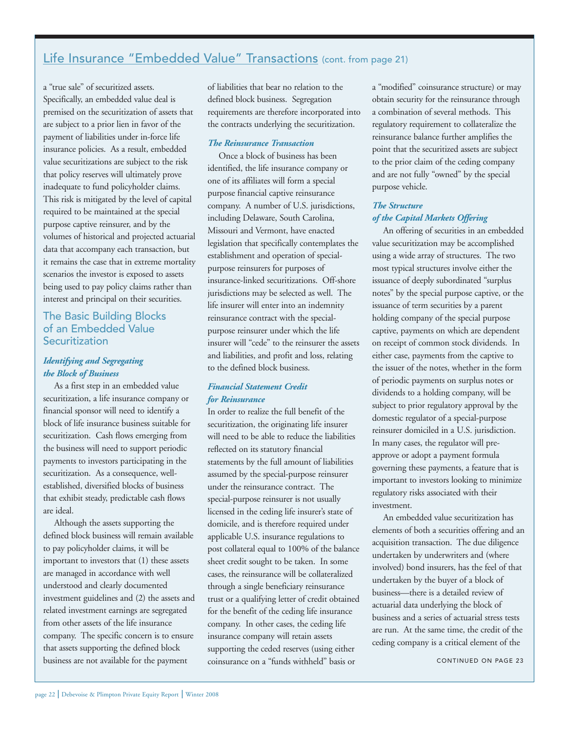# Life Insurance "Embedded Value" Transactions (cont. from page 21)

a "true sale" of securitized assets. Specifically, an embedded value deal is premised on the securitization of assets that are subject to a prior lien in favor of the payment of liabilities under in-force life insurance policies. As a result, embedded value securitizations are subject to the risk that policy reserves will ultimately prove inadequate to fund policyholder claims. This risk is mitigated by the level of capital required to be maintained at the special purpose captive reinsurer, and by the volumes of historical and projected actuarial data that accompany each transaction, but it remains the case that in extreme mortality scenarios the investor is exposed to assets being used to pay policy claims rather than interest and principal on their securities.

## The Basic Building Blocks of an Embedded Value **Securitization**

## *Identifying and Segregating the Block of Business*

As a first step in an embedded value securitization, a life insurance company or financial sponsor will need to identify a block of life insurance business suitable for securitization. Cash flows emerging from the business will need to support periodic payments to investors participating in the securitization. As a consequence, wellestablished, diversified blocks of business that exhibit steady, predictable cash flows are ideal.

Although the assets supporting the defined block business will remain available to pay policyholder claims, it will be important to investors that (1) these assets are managed in accordance with well understood and clearly documented investment guidelines and (2) the assets and related investment earnings are segregated from other assets of the life insurance company. The specific concern is to ensure that assets supporting the defined block business are not available for the payment

of liabilities that bear no relation to the defined block business. Segregation requirements are therefore incorporated into the contracts underlying the securitization.

## *The Reinsurance Transaction*

Once a block of business has been identified, the life insurance company or one of its affiliates will form a special purpose financial captive reinsurance company. A number of U.S. jurisdictions, including Delaware, South Carolina, Missouri and Vermont, have enacted legislation that specifically contemplates the establishment and operation of specialpurpose reinsurers for purposes of insurance-linked securitizations. Off-shore jurisdictions may be selected as well. The life insurer will enter into an indemnity reinsurance contract with the specialpurpose reinsurer under which the life insurer will "cede" to the reinsurer the assets and liabilities, and profit and loss, relating to the defined block business.

#### *Financial Statement Credit for Reinsurance*

In order to realize the full benefit of the securitization, the originating life insurer will need to be able to reduce the liabilities reflected on its statutory financial statements by the full amount of liabilities assumed by the special-purpose reinsurer under the reinsurance contract. The special-purpose reinsurer is not usually licensed in the ceding life insurer's state of domicile, and is therefore required under applicable U.S. insurance regulations to post collateral equal to 100% of the balance sheet credit sought to be taken. In some cases, the reinsurance will be collateralized through a single beneficiary reinsurance trust or a qualifying letter of credit obtained for the benefit of the ceding life insurance company. In other cases, the ceding life insurance company will retain assets supporting the ceded reserves (using either coinsurance on a "funds withheld" basis or

a "modified" coinsurance structure) or may obtain security for the reinsurance through a combination of several methods. This regulatory requirement to collateralize the reinsurance balance further amplifies the point that the securitized assets are subject to the prior claim of the ceding company and are not fully "owned" by the special purpose vehicle.

## *The Structure of the Capital Markets Offering*

An offering of securities in an embedded value securitization may be accomplished using a wide array of structures. The two most typical structures involve either the issuance of deeply subordinated "surplus notes" by the special purpose captive, or the issuance of term securities by a parent holding company of the special purpose captive, payments on which are dependent on receipt of common stock dividends. In either case, payments from the captive to the issuer of the notes, whether in the form of periodic payments on surplus notes or dividends to a holding company, will be subject to prior regulatory approval by the domestic regulator of a special-purpose reinsurer domiciled in a U.S. jurisdiction. In many cases, the regulator will preapprove or adopt a payment formula governing these payments, a feature that is important to investors looking to minimize regulatory risks associated with their investment.

An embedded value securitization has elements of both a securities offering and an acquisition transaction. The due diligence undertaken by underwriters and (where involved) bond insurers, has the feel of that undertaken by the buyer of a block of business—there is a detailed review of actuarial data underlying the block of business and a series of actuarial stress tests are run. At the same time, the credit of the ceding company is a critical element of the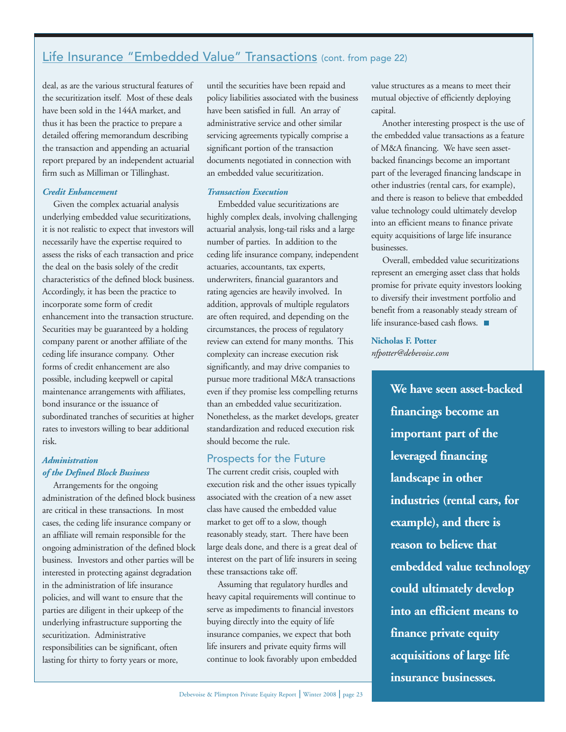# Life Insurance "Embedded Value" Transactions (cont. from page 22)

deal, as are the various structural features of the securitization itself. Most of these deals have been sold in the 144A market, and thus it has been the practice to prepare a detailed offering memorandum describing the transaction and appending an actuarial report prepared by an independent actuarial firm such as Milliman or Tillinghast.

#### *Credit Enhancement*

Given the complex actuarial analysis underlying embedded value securitizations, it is not realistic to expect that investors will necessarily have the expertise required to assess the risks of each transaction and price the deal on the basis solely of the credit characteristics of the defined block business. Accordingly, it has been the practice to incorporate some form of credit enhancement into the transaction structure. Securities may be guaranteed by a holding company parent or another affiliate of the ceding life insurance company. Other forms of credit enhancement are also possible, including keepwell or capital maintenance arrangements with affiliates, bond insurance or the issuance of subordinated tranches of securities at higher rates to investors willing to bear additional risk.

## *Administration of the Defined Block Business*

Arrangements for the ongoing administration of the defined block business are critical in these transactions. In most cases, the ceding life insurance company or an affiliate will remain responsible for the ongoing administration of the defined block business. Investors and other parties will be interested in protecting against degradation in the administration of life insurance policies, and will want to ensure that the parties are diligent in their upkeep of the underlying infrastructure supporting the securitization. Administrative responsibilities can be significant, often lasting for thirty to forty years or more,

until the securities have been repaid and policy liabilities associated with the business have been satisfied in full. An array of administrative service and other similar servicing agreements typically comprise a significant portion of the transaction documents negotiated in connection with an embedded value securitization.

#### *Transaction Execution*

Embedded value securitizations are highly complex deals, involving challenging actuarial analysis, long-tail risks and a large number of parties. In addition to the ceding life insurance company, independent actuaries, accountants, tax experts, underwriters, financial guarantors and rating agencies are heavily involved. In addition, approvals of multiple regulators are often required, and depending on the circumstances, the process of regulatory review can extend for many months. This complexity can increase execution risk significantly, and may drive companies to pursue more traditional M&A transactions even if they promise less compelling returns than an embedded value securitization. Nonetheless, as the market develops, greater standardization and reduced execution risk should become the rule.

#### Prospects for the Future

The current credit crisis, coupled with execution risk and the other issues typically associated with the creation of a new asset class have caused the embedded value market to get off to a slow, though reasonably steady, start. There have been large deals done, and there is a great deal of interest on the part of life insurers in seeing these transactions take off.

Assuming that regulatory hurdles and heavy capital requirements will continue to serve as impediments to financial investors buying directly into the equity of life insurance companies, we expect that both life insurers and private equity firms will continue to look favorably upon embedded value structures as a means to meet their mutual objective of efficiently deploying capital.

Another interesting prospect is the use of the embedded value transactions as a feature of M&A financing. We have seen assetbacked financings become an important part of the leveraged financing landscape in other industries (rental cars, for example), and there is reason to believe that embedded value technology could ultimately develop into an efficient means to finance private equity acquisitions of large life insurance businesses.

Overall, embedded value securitizations represent an emerging asset class that holds promise for private equity investors looking to diversify their investment portfolio and benefit from a reasonably steady stream of life insurance-based cash flows.

**Nicholas F. Potter** *nfpotter@debevoise.com*

> **We have seen asset-backed financings become an important part of the leveraged financing landscape in other industries (rental cars, for example), and there is reason to believe that embedded value technology could ultimately develop into an efficient means to finance private equity acquisitions of large life insurance businesses.**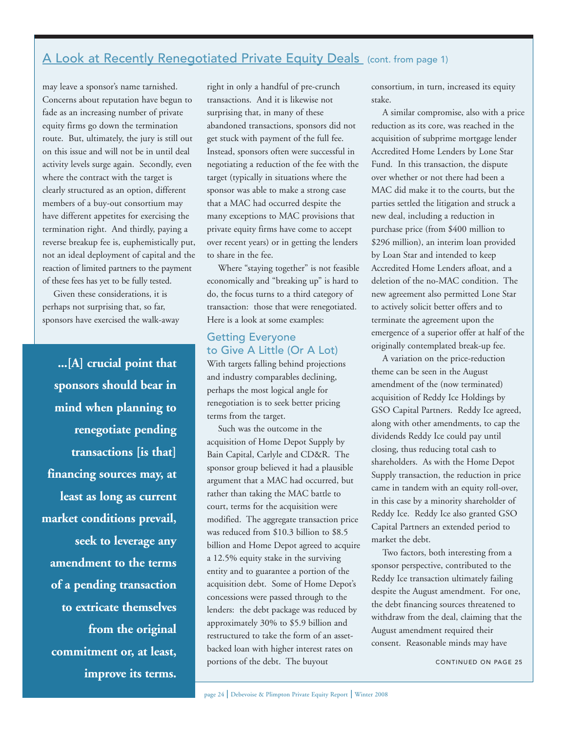## A Look at Recently Renegotiated Private Equity Deals (cont. from page 1)

may leave a sponsor's name tarnished. Concerns about reputation have begun to fade as an increasing number of private equity firms go down the termination route. But, ultimately, the jury is still out on this issue and will not be in until deal activity levels surge again. Secondly, even where the contract with the target is clearly structured as an option, different members of a buy-out consortium may have different appetites for exercising the termination right. And thirdly, paying a reverse breakup fee is, euphemistically put, not an ideal deployment of capital and the reaction of limited partners to the payment of these fees has yet to be fully tested.

Given these considerations, it is perhaps not surprising that, so far, sponsors have exercised the walk-away

**...[A] crucial point that sponsors should bear in mind when planning to renegotiate pending transactions [is that] financing sources may, at least as long as current market conditions prevail, seek to leverage any amendment to the terms of a pending transaction to extricate themselves from the original commitment or, at least, improve its terms.**  right in only a handful of pre-crunch transactions. And it is likewise not surprising that, in many of these abandoned transactions, sponsors did not get stuck with payment of the full fee. Instead, sponsors often were successful in negotiating a reduction of the fee with the target (typically in situations where the sponsor was able to make a strong case that a MAC had occurred despite the many exceptions to MAC provisions that private equity firms have come to accept over recent years) or in getting the lenders to share in the fee.

Where "staying together" is not feasible economically and "breaking up" is hard to do, the focus turns to a third category of transaction: those that were renegotiated. Here is a look at some examples:

## Getting Everyone to Give A Little (Or A Lot)

With targets falling behind projections and industry comparables declining, perhaps the most logical angle for renegotiation is to seek better pricing terms from the target.

Such was the outcome in the acquisition of Home Depot Supply by Bain Capital, Carlyle and CD&R. The sponsor group believed it had a plausible argument that a MAC had occurred, but rather than taking the MAC battle to court, terms for the acquisition were modified. The aggregate transaction price was reduced from \$10.3 billion to \$8.5 billion and Home Depot agreed to acquire a 12.5% equity stake in the surviving entity and to guarantee a portion of the acquisition debt. Some of Home Depot's concessions were passed through to the lenders: the debt package was reduced by approximately 30% to \$5.9 billion and restructured to take the form of an assetbacked loan with higher interest rates on portions of the debt. The buyout

consortium, in turn, increased its equity stake.

A similar compromise, also with a price reduction as its core, was reached in the acquisition of subprime mortgage lender Accredited Home Lenders by Lone Star Fund. In this transaction, the dispute over whether or not there had been a MAC did make it to the courts, but the parties settled the litigation and struck a new deal, including a reduction in purchase price (from \$400 million to \$296 million), an interim loan provided by Loan Star and intended to keep Accredited Home Lenders afloat, and a deletion of the no-MAC condition. The new agreement also permitted Lone Star to actively solicit better offers and to terminate the agreement upon the emergence of a superior offer at half of the originally contemplated break-up fee.

A variation on the price-reduction theme can be seen in the August amendment of the (now terminated) acquisition of Reddy Ice Holdings by GSO Capital Partners. Reddy Ice agreed, along with other amendments, to cap the dividends Reddy Ice could pay until closing, thus reducing total cash to shareholders. As with the Home Depot Supply transaction, the reduction in price came in tandem with an equity roll-over, in this case by a minority shareholder of Reddy Ice. Reddy Ice also granted GSO Capital Partners an extended period to market the debt.

Two factors, both interesting from a sponsor perspective, contributed to the Reddy Ice transaction ultimately failing despite the August amendment. For one, the debt financing sources threatened to withdraw from the deal, claiming that the August amendment required their consent. Reasonable minds may have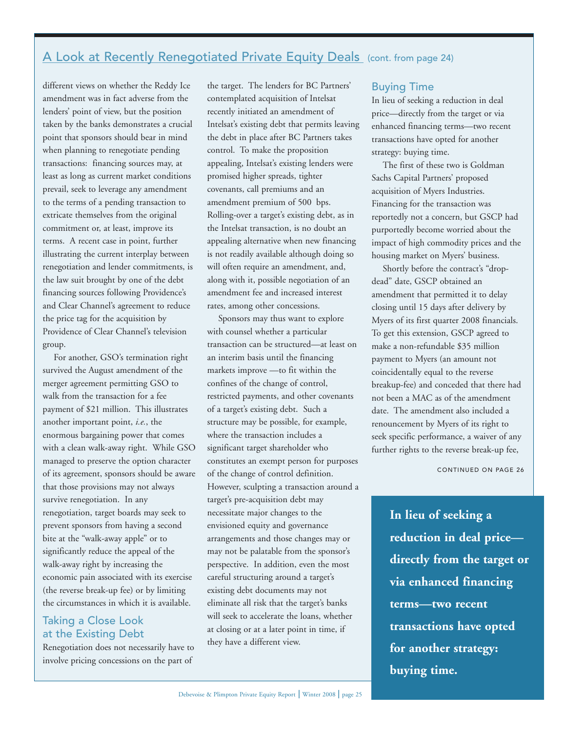## A Look at Recently Renegotiated Private Equity Deals (cont. from page 24)

different views on whether the Reddy Ice amendment was in fact adverse from the lenders' point of view, but the position taken by the banks demonstrates a crucial point that sponsors should bear in mind when planning to renegotiate pending transactions: financing sources may, at least as long as current market conditions prevail, seek to leverage any amendment to the terms of a pending transaction to extricate themselves from the original commitment or, at least, improve its terms. A recent case in point, further illustrating the current interplay between renegotiation and lender commitments, is the law suit brought by one of the debt financing sources following Providence's and Clear Channel's agreement to reduce the price tag for the acquisition by Providence of Clear Channel's television group.

For another, GSO's termination right survived the August amendment of the merger agreement permitting GSO to walk from the transaction for a fee payment of \$21 million. This illustrates another important point, *i.e.*, the enormous bargaining power that comes with a clean walk-away right. While GSO managed to preserve the option character of its agreement, sponsors should be aware that those provisions may not always survive renegotiation. In any renegotiation, target boards may seek to prevent sponsors from having a second bite at the "walk-away apple" or to significantly reduce the appeal of the walk-away right by increasing the economic pain associated with its exercise (the reverse break-up fee) or by limiting the circumstances in which it is available.

## Taking a Close Look at the Existing Debt

Renegotiation does not necessarily have to involve pricing concessions on the part of

the target. The lenders for BC Partners' contemplated acquisition of Intelsat recently initiated an amendment of Intelsat's existing debt that permits leaving the debt in place after BC Partners takes control. To make the proposition appealing, Intelsat's existing lenders were promised higher spreads, tighter covenants, call premiums and an amendment premium of 500 bps. Rolling-over a target's existing debt, as in the Intelsat transaction, is no doubt an appealing alternative when new financing is not readily available although doing so will often require an amendment, and, along with it, possible negotiation of an amendment fee and increased interest rates, among other concessions.

Sponsors may thus want to explore with counsel whether a particular transaction can be structured—at least on an interim basis until the financing markets improve —to fit within the confines of the change of control, restricted payments, and other covenants of a target's existing debt. Such a structure may be possible, for example, where the transaction includes a significant target shareholder who constitutes an exempt person for purposes of the change of control definition. However, sculpting a transaction around a target's pre-acquisition debt may necessitate major changes to the envisioned equity and governance arrangements and those changes may or may not be palatable from the sponsor's perspective. In addition, even the most careful structuring around a target's existing debt documents may not eliminate all risk that the target's banks will seek to accelerate the loans, whether at closing or at a later point in time, if they have a different view.

## Buying Time

In lieu of seeking a reduction in deal price—directly from the target or via enhanced financing terms—two recent transactions have opted for another strategy: buying time.

The first of these two is Goldman Sachs Capital Partners' proposed acquisition of Myers Industries. Financing for the transaction was reportedly not a concern, but GSCP had purportedly become worried about the impact of high commodity prices and the housing market on Myers' business.

Shortly before the contract's "dropdead" date, GSCP obtained an amendment that permitted it to delay closing until 15 days after delivery by Myers of its first quarter 2008 financials. To get this extension, GSCP agreed to make a non-refundable \$35 million payment to Myers (an amount not coincidentally equal to the reverse breakup-fee) and conceded that there had not been a MAC as of the amendment date. The amendment also included a renouncement by Myers of its right to seek specific performance, a waiver of any further rights to the reverse break-up fee,

CONTINUED ON PAGE 26

**In lieu of seeking a reduction in deal price directly from the target or via enhanced financing terms—two recent transactions have opted for another strategy: buying time.**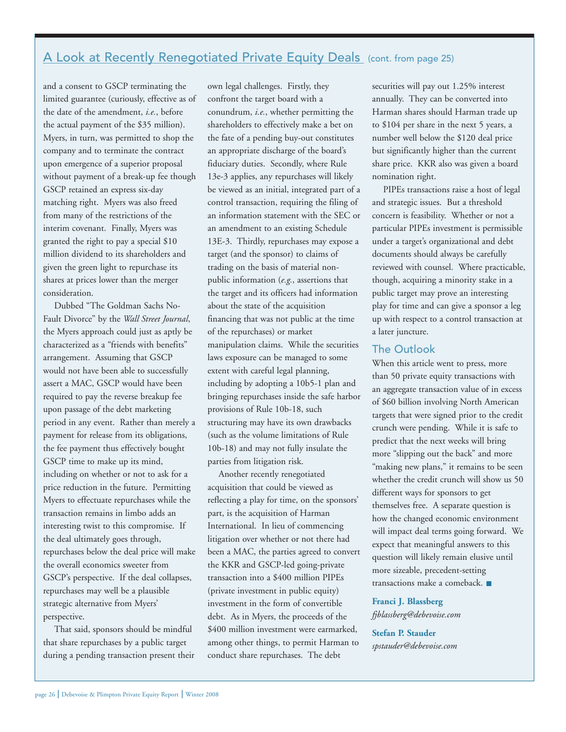## A Look at Recently Renegotiated Private Equity Deals (cont. from page 25)

and a consent to GSCP terminating the limited guarantee (curiously, effective as of the date of the amendment, *i.e.*, before the actual payment of the \$35 million). Myers, in turn, was permitted to shop the company and to terminate the contract upon emergence of a superior proposal without payment of a break-up fee though GSCP retained an express six-day matching right. Myers was also freed from many of the restrictions of the interim covenant. Finally, Myers was granted the right to pay a special \$10 million dividend to its shareholders and given the green light to repurchase its shares at prices lower than the merger consideration.

Dubbed "The Goldman Sachs No-Fault Divorce" by the *Wall Street Journal*, the Myers approach could just as aptly be characterized as a "friends with benefits" arrangement. Assuming that GSCP would not have been able to successfully assert a MAC, GSCP would have been required to pay the reverse breakup fee upon passage of the debt marketing period in any event. Rather than merely a payment for release from its obligations, the fee payment thus effectively bought GSCP time to make up its mind, including on whether or not to ask for a price reduction in the future. Permitting Myers to effectuate repurchases while the transaction remains in limbo adds an interesting twist to this compromise. If the deal ultimately goes through, repurchases below the deal price will make the overall economics sweeter from GSCP's perspective. If the deal collapses, repurchases may well be a plausible strategic alternative from Myers' perspective.

That said, sponsors should be mindful that share repurchases by a public target during a pending transaction present their

own legal challenges. Firstly, they confront the target board with a conundrum, *i.e.*, whether permitting the shareholders to effectively make a bet on the fate of a pending buy-out constitutes an appropriate discharge of the board's fiduciary duties. Secondly, where Rule 13e-3 applies, any repurchases will likely be viewed as an initial, integrated part of a control transaction, requiring the filing of an information statement with the SEC or an amendment to an existing Schedule 13E-3. Thirdly, repurchases may expose a target (and the sponsor) to claims of trading on the basis of material nonpublic information (*e.g.*, assertions that the target and its officers had information about the state of the acquisition financing that was not public at the time of the repurchases) or market manipulation claims. While the securities laws exposure can be managed to some extent with careful legal planning, including by adopting a 10b5-1 plan and bringing repurchases inside the safe harbor provisions of Rule 10b-18, such structuring may have its own drawbacks (such as the volume limitations of Rule 10b-18) and may not fully insulate the parties from litigation risk.

Another recently renegotiated acquisition that could be viewed as reflecting a play for time, on the sponsors' part, is the acquisition of Harman International. In lieu of commencing litigation over whether or not there had been a MAC, the parties agreed to convert the KKR and GSCP-led going-private transaction into a \$400 million PIPEs (private investment in public equity) investment in the form of convertible debt. As in Myers, the proceeds of the \$400 million investment were earmarked, among other things, to permit Harman to conduct share repurchases. The debt

securities will pay out 1.25% interest annually. They can be converted into Harman shares should Harman trade up to \$104 per share in the next 5 years, a number well below the \$120 deal price but significantly higher than the current share price. KKR also was given a board nomination right.

PIPEs transactions raise a host of legal and strategic issues. But a threshold concern is feasibility. Whether or not a particular PIPEs investment is permissible under a target's organizational and debt documents should always be carefully reviewed with counsel. Where practicable, though, acquiring a minority stake in a public target may prove an interesting play for time and can give a sponsor a leg up with respect to a control transaction at a later juncture.

## The Outlook

When this article went to press, more than 50 private equity transactions with an aggregate transaction value of in excess of \$60 billion involving North American targets that were signed prior to the credit crunch were pending. While it is safe to predict that the next weeks will bring more "slipping out the back" and more "making new plans," it remains to be seen whether the credit crunch will show us 50 different ways for sponsors to get themselves free. A separate question is how the changed economic environment will impact deal terms going forward. We expect that meaningful answers to this question will likely remain elusive until more sizeable, precedent-setting transactions make a comeback.

### **Franci J. Blassberg** *fjblassberg@debevoise.com*

**Stefan P. Stauder** *spstauder@debevoise.com*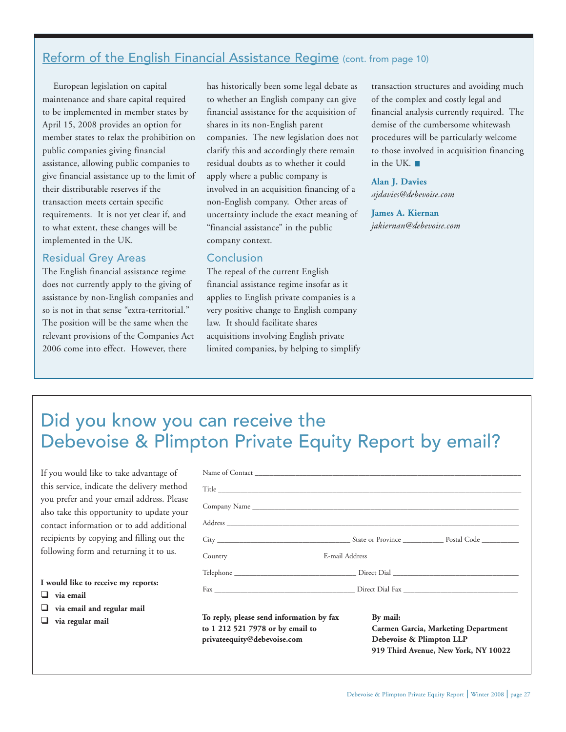## Reform of the English Financial Assistance Regime (cont. from page 10)

European legislation on capital maintenance and share capital required to be implemented in member states by April 15, 2008 provides an option for member states to relax the prohibition on public companies giving financial assistance, allowing public companies to give financial assistance up to the limit of their distributable reserves if the transaction meets certain specific requirements. It is not yet clear if, and to what extent, these changes will be implemented in the UK.

## Residual Grey Areas

The English financial assistance regime does not currently apply to the giving of assistance by non-English companies and so is not in that sense "extra-territorial." The position will be the same when the relevant provisions of the Companies Act 2006 come into effect. However, there

has historically been some legal debate as to whether an English company can give financial assistance for the acquisition of shares in its non-English parent companies. The new legislation does not clarify this and accordingly there remain residual doubts as to whether it could apply where a public company is involved in an acquisition financing of a non-English company. Other areas of uncertainty include the exact meaning of "financial assistance" in the public company context.

#### **Conclusion**

The repeal of the current English financial assistance regime insofar as it applies to English private companies is a very positive change to English company law. It should facilitate shares acquisitions involving English private limited companies, by helping to simplify transaction structures and avoiding much of the complex and costly legal and financial analysis currently required. The demise of the cumbersome whitewash procedures will be particularly welcome to those involved in acquisition financing in the UK.

#### **Alan J. Davies**

*ajdavies@debevoise.com*

**James A. Kiernan** *jakiernan@debevoise.com*

# Did you know you can receive the Debevoise & Plimpton Private Equity Report by email?

If you would like to take advantage of this service, indicate the delivery method you prefer and your email address. Please also take this opportunity to update your contact information or to add additional recipients by copying and filling out the following form and returning it to us.

#### **I would like to receive my reports:**

- **via email**
- **via email and regular mail**
- **via regular mail**

| to 1 212 521 7978 or by email to<br>privateequity@debevoise.com | <b>Carmen Garcia, Marketing Department</b><br>Debevoise & Plimpton LLP<br>919 Third Avenue, New York, NY 10022 |  |
|-----------------------------------------------------------------|----------------------------------------------------------------------------------------------------------------|--|
| To reply, please send information by fax                        | By mail:                                                                                                       |  |
|                                                                 |                                                                                                                |  |
|                                                                 |                                                                                                                |  |
|                                                                 |                                                                                                                |  |
|                                                                 |                                                                                                                |  |
|                                                                 |                                                                                                                |  |
|                                                                 |                                                                                                                |  |
|                                                                 |                                                                                                                |  |
|                                                                 |                                                                                                                |  |